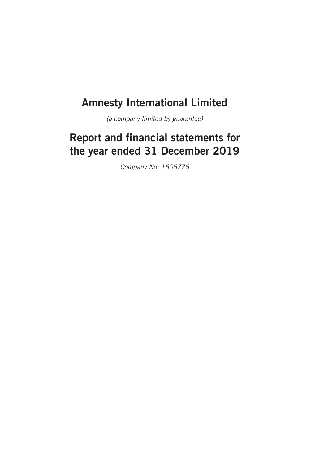# Amnesty International Limited

(a company limited by guarantee)

# Report and financial statements for the year ended 31 December 2019

Company No: 1606776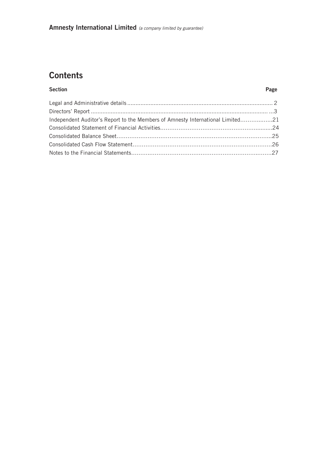# **Contents**

#### **Section Page 2012**

| Independent Auditor's Report to the Members of Amnesty International Limited21 |  |
|--------------------------------------------------------------------------------|--|
|                                                                                |  |
|                                                                                |  |
|                                                                                |  |
|                                                                                |  |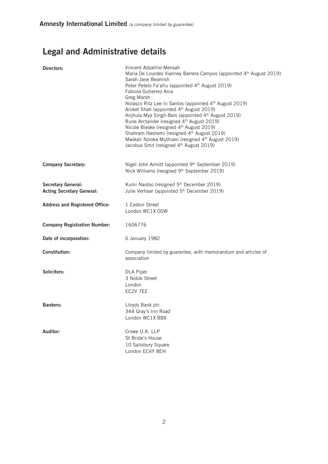# Legal and Administrative details

| Directors:                                                    | Vincent Adzahlie-Mensah<br>Maria De Lourdes Vianney Barrera Campos (appointed 4th August 2019)<br>Sarah Jane Beamish<br>Peter Petelo Fa'afiu (appointed 4 <sup>th</sup> August 2019)<br>Fabiola Gutierrez Arce<br>Greg Marsh<br>Nolasco Ritz Lee Iii Santos (appointed 4 <sup>th</sup> August 2019)<br>Aniket Shah (appointed 4 <sup>th</sup> August 2019)<br>Anjhula Mya Singh-Bais (appointed 4 <sup>th</sup> August 2019)<br>Rune Arctander (resigned 4 <sup>th</sup> August 2019)<br>Nicole Bieske (resigned 4th August 2019)<br>Shahram Hashemi (resigned 4 <sup>th</sup> August 2019)<br>Mwikali Nzioka Muthiani (resigned 4 <sup>th</sup> August 2019)<br>Jacobus Smit (resigned 4th August 2019) |
|---------------------------------------------------------------|----------------------------------------------------------------------------------------------------------------------------------------------------------------------------------------------------------------------------------------------------------------------------------------------------------------------------------------------------------------------------------------------------------------------------------------------------------------------------------------------------------------------------------------------------------------------------------------------------------------------------------------------------------------------------------------------------------|
| <b>Company Secretary:</b>                                     | Nigel John Armitt (appointed 9th September 2019)<br>Nick Williams (resigned 9th September 2019)                                                                                                                                                                                                                                                                                                                                                                                                                                                                                                                                                                                                          |
| <b>Secretary General:</b><br><b>Acting Secretary General:</b> | Kumi Naidoo (resigned 5th December 2019)<br>Julie Verhaar (appointed 5 <sup>th</sup> December 2019)                                                                                                                                                                                                                                                                                                                                                                                                                                                                                                                                                                                                      |
| <b>Address and Registered Office:</b>                         | 1 Easton Street<br>London WC1X ODW                                                                                                                                                                                                                                                                                                                                                                                                                                                                                                                                                                                                                                                                       |
| <b>Company Registration Number:</b>                           | 1606776                                                                                                                                                                                                                                                                                                                                                                                                                                                                                                                                                                                                                                                                                                  |
| Date of incorporation:                                        | 6 January 1982                                                                                                                                                                                                                                                                                                                                                                                                                                                                                                                                                                                                                                                                                           |
| Constitution:                                                 | Company limited by guarantee, with memorandum and articles of<br>association                                                                                                                                                                                                                                                                                                                                                                                                                                                                                                                                                                                                                             |
| Solicitors:                                                   | <b>DLA Piper</b><br>3 Noble Street<br>London<br>EC2V 7EE                                                                                                                                                                                                                                                                                                                                                                                                                                                                                                                                                                                                                                                 |
| <b>Bankers:</b>                                               | Lloyds Bank plc<br>344 Gray's Inn Road<br>London WC1X 8BX                                                                                                                                                                                                                                                                                                                                                                                                                                                                                                                                                                                                                                                |
| Auditor:                                                      | Crowe U.K. LLP<br>St Bride's House<br>10 Salisbury Square<br>London EC4Y 8EH                                                                                                                                                                                                                                                                                                                                                                                                                                                                                                                                                                                                                             |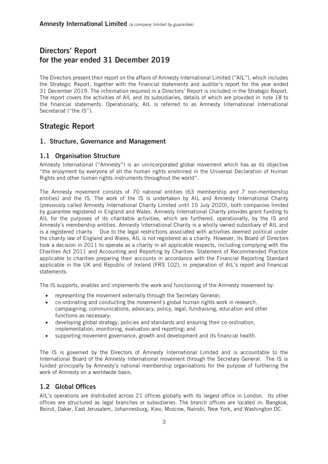### Directors' Report for the year ended 31 December 2019

The Directors present their report on the affairs of Amnesty International Limited ("AIL"), which includes the Strategic Report, together with the financial statements and auditor's report for the year ended 31 December 2019. The information required in a Directors' Report is included in the Strategic Report. The report covers the activities of AIL and its subsidiaries, details of which are provided in note 18 to the financial statements. Operationally, AIL is referred to as Amnesty International International Secretariat ("the IS").

### Strategic Report

#### 1. Structure, Governance and Management

#### 1.1 Organisation Structure

Amnesty International ("Amnesty") is an unincorporated global movement which has as its objective "the enjoyment by everyone of all the human rights enshrined in the Universal Declaration of Human Rights and other human rights instruments throughout the world".

The Amnesty movement consists of 70 national entities (63 membership and 7 non-membership entities) and the IS. The work of the IS is undertaken by AIL and Amnesty International Charity (previously called Amnesty International Charity Limited until 15 July 2020), both companies limited by guarantee registered in England and Wales. Amnesty International Charity provides grant funding to AIL for the purposes of its charitable activities, which are furthered, operationally, by the IS and Amnesty's membership entities. Amnesty International Charity is a wholly owned subsidiary of AIL and is a registered charity. Due to the legal restrictions associated with activities deemed political under the charity law of England and Wales, AIL is not registered as a charity. However, its Board of Directors took a decision in 2011 to operate as a charity in all applicable respects, including complying with the Charities Act 2011 and Accounting and Reporting by Charities: Statement of Recommended Practice applicable to charities preparing their accounts in accordance with the Financial Reporting Standard applicable in the UK and Republic of Ireland (FRS 102), in preparation of AIL's report and financial statements.

The IS supports, enables and implements the work and functioning of the Amnesty movement by:

- · representing the movement externally through the Secretary General;
- · co-ordinating and conducting the movement's global human rights work in research, campaigning, communications, advocacy, policy, legal, fundraising, education and other functions as necessary;
- · developing global strategy, policies and standards and ensuring their co-ordination, implementation, monitoring, evaluation and reporting; and
- · supporting movement governance, growth and development and its financial health.

The IS is governed by the Directors of Amnesty International Limited and is accountable to the International Board of the Amnesty International movement through the Secretary General. The IS is funded principally by Amnesty's national membership organisations for the purpose of furthering the work of Amnesty on a worldwide basis.

#### 1.2 Global Offices

AIL's operations are distributed across 21 offices globally with its largest office in London. Its other offices are structured as legal branches or subsidiaries. The branch offices are located in: Bangkok, Beirut, Dakar, East Jerusalem, Johannesburg, Kiev, Moscow, Nairobi, New York, and Washington DC.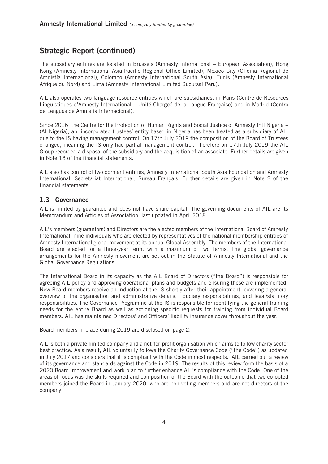The subsidiary entities are located in Brussels (Amnesty International – European Association), Hong Kong (Amnesty International Asia-Pacific Regional Office Limited), Mexico City (Oficina Regional de Amnistía Internacional), Colombo (Amnesty International South Asia), Tunis (Amnesty International Afrique du Nord) and Lima (Amnesty International Limited Sucursal Peru).

AIL also operates two language resource entities which are subsidiaries, in Paris (Centre de Resources Linguistiques d'Amnesty International – Unité Chargeé de la Langue Française) and in Madrid (Centro de Lenguas de Amnistia Internacional).

Since 2016, the Centre for the Protection of Human Rights and Social Justice of Amnesty Intl Nigeria – (AI Nigeria), an 'incorporated trustees' entity based in Nigeria has been treated as a subsidiary of AIL due to the IS having management control. On 17th July 2019 the composition of the Board of Trustees changed, meaning the IS only had partial management control. Therefore on 17th July 2019 the AIL Group recorded a disposal of the subsidiary and the acquisition of an associate. Further details are given in Note 18 of the financial statements.

AIL also has control of two dormant entities, Amnesty International South Asia Foundation and Amnesty International, Secretariat International, Bureau Français. Further details are given in Note 2 of the financial statements.

#### 1.3 Governance

AIL is limited by guarantee and does not have share capital. The governing documents of AIL are its Memorandum and Articles of Association, last updated in April 2018.

AIL's members (guarantors) and Directors are the elected members of the International Board of Amnesty International, nine individuals who are elected by representatives of the national membership entities of Amnesty International global movement at its annual Global Assembly. The members of the International Board are elected for a three-year term, with a maximum of two terms. The global governance arrangements for the Amnesty movement are set out in the Statute of Amnesty International and the Global Governance Regulations.

The International Board in its capacity as the AIL Board of Directors ("the Board") is responsible for agreeing AIL policy and approving operational plans and budgets and ensuring these are implemented. New Board members receive an induction at the IS shortly after their appointment, covering a general overview of the organisation and administrative details, fiduciary responsibilities, and legal/statutory responsibilities. The Governance Programme at the IS is responsible for identifying the general training needs for the entire Board as well as actioning specific requests for training from individual Board members. AIL has maintained Directors' and Officers' liability insurance cover throughout the year.

Board members in place during 2019 are disclosed on page 2.

AIL is both a private limited company and a not-for-profit organisation which aims to follow charity sector best practice. As a result, AIL voluntarily follows the Charity Governance Code ("the Code") as updated in July 2017 and considers that it is compliant with the Code in most respects. AIL carried out a review of its governance and standards against the Code in 2019. The results of this review form the basis of a 2020 Board improvement and work plan to further enhance AIL's compliance with the Code. One of the areas of focus was the skills required and composition of the Board with the outcome that two co-opted members joined the Board in January 2020, who are non-voting members and are not directors of the company.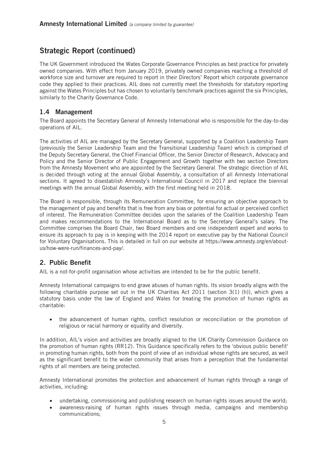The UK Government introduced the Wates Corporate Governance Principles as best practice for privately owned companies. With effect from January 2019, privately owned companies reaching a threshold of workforce size and turnover are required to report in their Directors' Report which corporate governance code they applied to their practices. AIL does not currently meet the thresholds for statutory reporting against the Wates Principles but has chosen to voluntarily benchmark practices against the six Principles, similarly to the Charity Governance Code.

### 1.4 Management

The Board appoints the Secretary General of Amnesty International who is responsible for the day-to-day operations of AIL.

The activities of AIL are managed by the Secretary General, supported by a Coalition Leadership Team (previously the Senior Leadership Team and the Transitional Leadership Team) which is comprised of the Deputy Secretary General, the Chief Financial Officer, the Senior Director of Research, Advocacy and Policy and the Senior Director of Public Engagement and Growth together with two section Directors from the Amnesty Movement who are appointed by the Secretary General. The strategic direction of AIL is decided through voting at the annual Global Assembly, a consultation of all Amnesty International sections. It agreed to disestablish Amnesty's International Council in 2017 and replace the biennial meetings with the annual Global Assembly, with the first meeting held in 2018.

The Board is responsible, through its Remuneration Committee, for ensuring an objective approach to the management of pay and benefits that is free from any bias or potential for actual or perceived conflict of interest. The Remuneration Committee decides upon the salaries of the Coalition Leadership Team and makes recommendations to the International Board as to the Secretary General's salary. The Committee comprises the Board Chair, two Board members and one independent expert and works to ensure its approach to pay is in keeping with the 2014 report on executive pay by the National Council for Voluntary Organisations. This is detailed in full on our website at https://www.amnesty.org/en/aboutus/how-were-run/finances-and-pay/.

#### 2. Public Benefit

AIL is a not-for-profit organisation whose activities are intended to be for the public benefit.

Amnesty International campaigns to end grave abuses of human rights. Its vision broadly aligns with the following charitable purpose set out in the UK Charities Act 2011 (section 3(1) (h)), which gives a statutory basis under the law of England and Wales for treating the promotion of human rights as charitable:

· the advancement of human rights, conflict resolution or reconciliation or the promotion of religious or racial harmony or equality and diversity.

In addition, AIL's vision and activities are broadly aligned to the UK Charity Commission Guidance on the promotion of human rights (RR12). This Guidance specifically refers to the 'obvious public benefit' in promoting human rights, both from the point of view of an individual whose rights are secured, as well as the significant benefit to the wider community that arises from a perception that the fundamental rights of all members are being protected.

Amnesty International promotes the protection and advancement of human rights through a range of activities, including:

- undertaking, commissioning and publishing research on human rights issues around the world;
- · awareness-raising of human rights issues through media, campaigns and membership communications;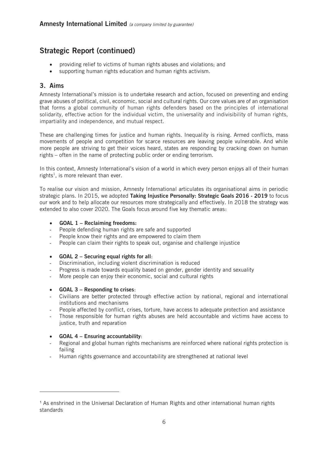- · providing relief to victims of human rights abuses and violations; and
- · supporting human rights education and human rights activism.

### 3. Aims

Amnesty International's mission is to undertake research and action, focused on preventing and ending grave abuses of political, civil, economic, social and cultural rights. Our core values are of an organisation that forms a global community of human rights defenders based on the principles of international solidarity, effective action for the individual victim, the universality and indivisibility of human rights, impartiality and independence, and mutual respect.

These are challenging times for justice and human rights. Inequality is rising. Armed conflicts, mass movements of people and competition for scarce resources are leaving people vulnerable. And while more people are striving to get their voices heard, states are responding by cracking down on human rights – often in the name of protecting public order or ending terrorism.

In this context, Amnesty International's vision of a world in which every person enjoys all of their human  $rights<sup>1</sup>$ , is more relevant than ever.

To realise our vision and mission, Amnesty International articulates its organisational aims in periodic strategic plans. In 2015, we adopted Taking Injustice Personally: Strategic Goals 2016 - 2019 to focus our work and to help allocate our resources more strategically and effectively. In 2018 the strategy was extended to also cover 2020. The Goals focus around five key thematic areas:

- · GOAL 1 Reclaiming freedoms:
- People defending human rights are safe and supported
- People know their rights and are empowered to claim them
- People can claim their rights to speak out, organise and challenge injustice
- · GOAL 2 Securing equal rights for all:
- Discrimination, including violent discrimination is reduced
- Progress is made towards equality based on gender, gender identity and sexuality
- More people can enjoy their economic, social and cultural rights

#### · GOAL 3 – Responding to crises:

- Civilians are better protected through effective action by national, regional and international institutions and mechanisms
- People affected by conflict, crises, torture, have access to adequate protection and assistance
- Those responsible for human rights abuses are held accountable and victims have access to justice, truth and reparation

#### • GOAL  $4$  – Ensuring accountability:

- Regional and global human rights mechanisms are reinforced where national rights protection is failing
- Human rights governance and accountability are strengthened at national level

<sup>1</sup> As enshrined in the Universal Declaration of Human Rights and other international human rights standards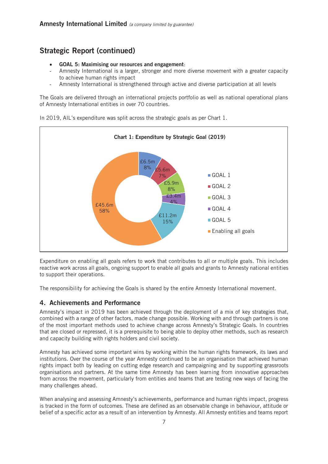- · GOAL 5: Maximising our resources and engagement:
- Amnesty International is a larger, stronger and more diverse movement with a greater capacity to achieve human rights impact
- Amnesty International is strengthened through active and diverse participation at all levels

The Goals are delivered through an international projects portfolio as well as national operational plans of Amnesty International entities in over 70 countries.



In 2019, AIL's expenditure was split across the strategic goals as per Chart 1.

Expenditure on enabling all goals refers to work that contributes to all or multiple goals. This includes reactive work across all goals, ongoing support to enable all goals and grants to Amnesty national entities to support their operations.

The responsibility for achieving the Goals is shared by the entire Amnesty International movement.

#### 4. Achievements and Performance

Amnesty's impact in 2019 has been achieved through the deployment of a mix of key strategies that, combined with a range of other factors, made change possible. Working with and through partners is one of the most important methods used to achieve change across Amnesty's Strategic Goals. In countries that are closed or repressed, it is a prerequisite to being able to deploy other methods, such as research and capacity building with rights holders and civil society.

Amnesty has achieved some important wins by working within the human rights framework, its laws and institutions. Over the course of the year Amnesty continued to be an organisation that achieved human rights impact both by leading on cutting edge research and campaigning and by supporting grassroots organisations and partners. At the same time Amnesty has been learning from innovative approaches from across the movement, particularly from entities and teams that are testing new ways of facing the many challenges ahead.

When analysing and assessing Amnesty's achievements, performance and human rights impact, progress is tracked in the form of outcomes. These are defined as an observable change in behaviour, attitude or belief of a specific actor as a result of an intervention by Amnesty. All Amnesty entities and teams report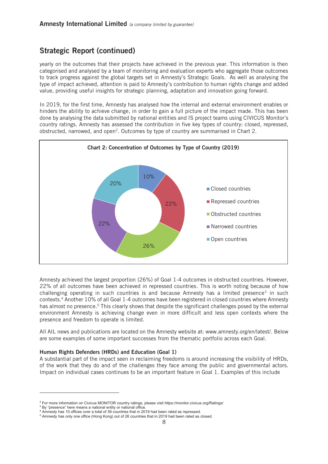yearly on the outcomes that their projects have achieved in the previous year. This information is then categorised and analysed by a team of monitoring and evaluation experts who aggregate those outcomes to track progress against the global targets set in Amnesty's Strategic Goals. As well as analysing the type of impact achieved, attention is paid to Amnesty's contribution to human rights change and added value, providing useful insights for strategic planning, adaptation and innovation going forward.

In 2019, for the first time, Amnesty has analysed how the internal and external environment enables or hinders the ability to achieve change, in order to gain a full picture of the impact made. This has been done by analysing the data submitted by national entities and IS project teams using CIVICUS Monitor's country ratings. Amnesty has assessed the contribution in five key types of country: closed, repressed, obstructed, narrowed, and open<sup>2</sup>. Outcomes by type of country are summarised in Chart 2.



Amnesty achieved the largest proportion (26%) of Goal 1-4 outcomes in obstructed countries. However, 22% of all outcomes have been achieved in repressed countries. This is worth noting because of how challenging operating in such countries is and because Amnesty has a limited presence<sup>3</sup> in such contexts.<sup>4</sup> Another 10% of all Goal 1-4 outcomes have been registered in closed countries where Amnesty has almost no presence.<sup>5</sup> This clearly shows that despite the significant challenges posed by the external environment Amnesty is achieving change even in more difficult and less open contexts where the presence and freedom to operate is limited.

All AIL news and publications are located on the Amnesty website at: www.amnesty.org/en/latest/. Below are some examples of some important successes from the thematic portfolio across each Goal.

#### Human Rights Defenders (HRDs) and Education (Goal 1)

A substantial part of the impact seen in reclaiming freedoms is around increasing the visibility of HRDs, of the work that they do and of the challenges they face among the public and governmental actors. Impact on individual cases continues to be an important feature in Goal 1. Examples of this include

<sup>&</sup>lt;sup>2</sup> For more information on Civicus MONITOR country ratings, please visit https://monitor.civicus.org/Ratings/

<sup>&</sup>lt;sup>3</sup> By "presence" here means a national entity or national office.

<sup>4</sup> Amnesty has 10 offices over a total of 39 countries that in 2019 had been rated as repressed.

<sup>5</sup> Amnesty has only one office (Hong Kong) out of 26 countries that in 2019 had been rated as closed.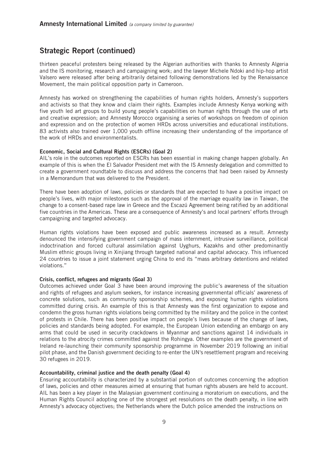thirteen peaceful protesters being released by the Algerian authorities with thanks to Amnesty Algeria and the IS monitoring, research and campaigning work; and the lawyer Michele Ndoki and hip-hop artist Valsero were released after being arbitrarily detained following demonstrations led by the Renaissance Movement, the main political opposition party in Cameroon.

Amnesty has worked on strengthening the capabilities of human rights holders, Amnesty's supporters and activists so that they know and claim their rights. Examples include Amnesty Kenya working with five youth led art groups to build young people's capabilities on human rights through the use of arts and creative expression; and Amnesty Morocco organising a series of workshops on freedom of opinion and expression and on the protection of women HRDs across universities and educational institutions. 83 activists also trained over 1,000 youth offline increasing their understanding of the importance of the work of HRDs and environmentalists.

#### Economic, Social and Cultural Rights (ESCRs) (Goal 2)

AIL's role in the outcomes reported on ESCRs has been essential in making change happen globally. An example of this is when the El Salvador President met with the IS Amnesty delegation and committed to create a government roundtable to discuss and address the concerns that had been raised by Amnesty in a Memorandum that was delivered to the President.

There have been adoption of laws, policies or standards that are expected to have a positive impact on people's lives, with major milestones such as the approval of the marriage equality law in Taiwan, the change to a consent-based rape law in Greece and the Escazú Agreement being ratified by an additional five countries in the Americas. These are a consequence of Amnesty's and local partners' efforts through campaigning and targeted advocacy.

Human rights violations have been exposed and public awareness increased as a result. Amnesty denounced the intensifying government campaign of mass internment, intrusive surveillance, political indoctrination and forced cultural assimilation against Uyghurs, Kazakhs and other predominantly Muslim ethnic groups living in Xinjiang through targeted national and capital advocacy. This influenced 24 countries to issue a joint statement urging China to end its "mass arbitrary detentions and related violations."

#### Crisis, conflict, refugees and migrants (Goal 3)

Outcomes achieved under Goal 3 have been around improving the public's awareness of the situation and rights of refugees and asylum seekers, for instance increasing governmental officials' awareness of concrete solutions, such as community sponsorship schemes, and exposing human rights violations committed during crisis. An example of this is that Amnesty was the first organization to expose and condemn the gross human rights violations being committed by the military and the police in the context of protests in Chile. There has been positive impact on people's lives because of the change of laws, policies and standards being adopted. For example, the European Union extending an embargo on any arms that could be used in security crackdowns in Myanmar and sanctions against 14 individuals in relations to the atrocity crimes committed against the Rohingya. Other examples are the government of Ireland re-launching their community sponsorship programme in November 2019 following an initial pilot phase, and the Danish government deciding to re-enter the UN's resettlement program and receiving 30 refugees in 2019.

#### Accountability, criminal justice and the death penalty (Goal 4)

Ensuring accountability is characterized by a substantial portion of outcomes concerning the adoption of laws, policies and other measures aimed at ensuring that human rights abusers are held to account. AIL has been a key player in the Malaysian government continuing a moratorium on executions, and the Human Rights Council adopting one of the strongest yet resolutions on the death penalty, in line with Amnesty's advocacy objectives; the Netherlands where the Dutch police amended the instructions on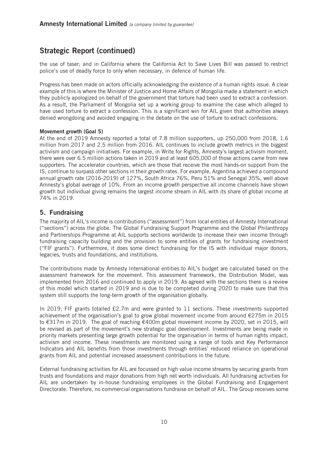the use of taser; and in California where the California Act to Save Lives Bill was passed to restrict police's use of deadly force to only when necessary, in defence of human life.

Progress has been made on actors officially acknowledging the existence of a human rights issue. A clear example of this is where the Minister of Justice and Home Affairs of Mongolia made a statement in which they publicly apologized on behalf of the government that torture had been used to extract a confession. As a result, the Parliament of Mongolia set up a working group to examine the case which alleged to have used torture to extract a confession. This is a significant win for AIL given that authorities always denied wrongdoing and avoided engaging in the debate on the use of torture to extract confessions.

#### Movement growth (Goal 5)

At the end of 2019 Amnesty reported a total of 7.8 million supporters, up 250,000 from 2018, 1.6 million from 2017 and 2.5 million from 2016. AIL continues to include growth metrics in the biggest activism and campaign initiatives. For example, in Write for Rights, Amnesty's largest activism moment, there were over 6.5 million actions taken in 2019 and at least 605,000 of those actions came from new supporters. The accelerator countries, which are those that receive the most hands-on support from the IS, continue to surpass other sections in their growth rates. For example, Argentina achieved a compound annual growth rate (2016-2019) of 127%, South Africa 76%, Peru 51% and Senegal 35%, well above Amnesty's global average of 10%. From an income growth perspective all income channels have shown growth but individual giving remains the largest income stream in AIL with its share of global income at 74% in 2019.

### 5. Fundraising

The majority of AIL's income is contributions ("assessment") from local entities of Amnesty International ("sections") across the globe. The Global Fundraising Support Programme and the Global Philanthropy and Partnerships Programme at AIL supports sections worldwide to increase their own income through fundraising capacity building and the provision to some entities of grants for fundraising investment ("FIF grants"). Furthermore, it does some direct fundraising for the IS with individual major donors, legacies, trusts and foundations, and institutions.

The contributions made by Amnesty International entities to AIL's budget are calculated based on the assessment framework for the movement. This assessment framework, the Distribution Model, was implemented from 2016 and continued to apply in 2019. As agreed with the sections there is a review of this model which started in 2019 and is due to be completed during 2020 to make sure that this system still supports the long-term growth of the organisation globally.

In 2019, FIF grants totalled £2.7m and were granted to 11 sections. These investments supported achievement of the organisation's goal to grow global movement income from around €275m in 2015 to €317m in 2019. The goal of reaching €400m global movement income by 2020, set in 2015, will be revised as part of the movement's new strategic goal development. Investments are being made in priority markets presenting large growth potential for the organisation in terms of human rights impact, activism and income. These investments are monitored using a range of tools and Key Performance Indicators and AIL benefits from those investments through entities' reduced reliance on operational grants from AIL and potential increased assessment contributions in the future.

External fundraising activities for AIL are focussed on high value income streams by securing grants from trusts and foundations and major donations from high net worth individuals. All fundraising activities for AIL are undertaken by in-house fundraising employees in the Global Fundraising and Engagement Directorate. Therefore, no commercial organisations fundraise on behalf of AIL. The Group receives some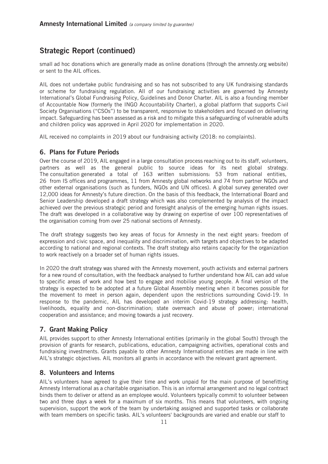small ad hoc donations which are generally made as online donations (through the amnesty.org website) or sent to the AIL offices.

AIL does not undertake public fundraising and so has not subscribed to any UK fundraising standards or scheme for fundraising regulation. All of our fundraising activities are governed by Amnesty International's Global Fundraising Policy, Guidelines and Donor Charter. AIL is also a founding member of Accountable Now (formerly the INGO Accountability Charter), a global platform that supports Civil Society Organisations ("CSOs") to be transparent, responsive to stakeholders and focused on delivering impact. Safeguarding has been assessed as a risk and to mitigate this a safeguarding of vulnerable adults and children policy was approved in April 2020 for implementation in 2020.

AIL received no complaints in 2019 about our fundraising activity (2018: no complaints).

#### 6. Plans for Future Periods

Over the course of 2019, AIL engaged in a large consultation process reaching out to its staff, volunteers, partners as well as the general public to source ideas for its next global strategy. The consultation generated a total of 163 written submissions: 53 from national entities, 26 from IS offices and programmes, 11 from Amnesty global networks and 74 from partner NGOs and other external organisations (such as funders, NGOs and UN offices). A global survey generated over 12,000 ideas for Amnesty's future direction. On the basis of this feedback, the International Board and Senior Leadership developed a draft strategy which was also complemented by analysis of the impact achieved over the previous strategic period and foresight analysis of the emerging human rights issues. The draft was developed in a collaborative way by drawing on expertise of over 100 representatives of the organisation coming from over 25 national sections of Amnesty.

The draft strategy suggests two key areas of focus for Amnesty in the next eight years: freedom of expression and civic space, and inequality and discrimination, with targets and objectives to be adapted according to national and regional contexts. The draft strategy also retains capacity for the organization to work reactively on a broader set of human rights issues.

In 2020 the draft strategy was shared with the Amnesty movement, youth activists and external partners for a new round of consultation, with the feedback analysed to further understand how AIL can add value to specific areas of work and how best to engage and mobilise young people. A final version of the strategy is expected to be adopted at a future Global Assembly meeting when it becomes possible for the movement to meet in person again, dependent upon the restrictions surrounding Covid-19. In response to the pandemic, AIL has developed an interim Covid-19 strategy addressing: health, livelihoods, equality and non-discrimination; state overreach and abuse of power; international cooperation and assistance; and moving towards a just recovery.

#### 7. Grant Making Policy

AIL provides support to other Amnesty International entities (primarily in the global South) through the provision of grants for research, publications, education, campaigning activities, operational costs and fundraising investments. Grants payable to other Amnesty International entities are made in line with AIL's strategic objectives. AIL monitors all grants in accordance with the relevant grant agreement.

#### 8. Volunteers and Interns

AIL's volunteers have agreed to give their time and work unpaid for the main purpose of benefitting Amnesty International as a charitable organisation. This is an informal arrangement and no legal contract binds them to deliver or attend as an employee would. Volunteers typically commit to volunteer between two and three days a week for a maximum of six months. This means that volunteers, with ongoing supervision, support the work of the team by undertaking assigned and supported tasks or collaborate with team members on specific tasks. AIL's volunteers' backgrounds are varied and enable our staff to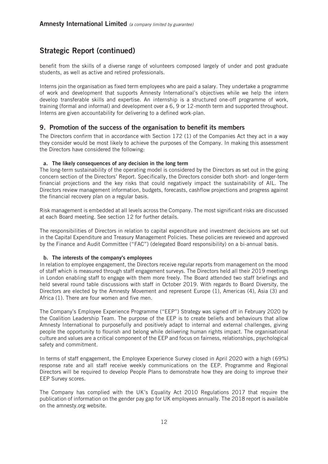benefit from the skills of a diverse range of volunteers composed largely of under and post graduate students, as well as active and retired professionals.

Interns join the organisation as fixed term employees who are paid a salary. They undertake a programme of work and development that supports Amnesty International's objectives while we help the intern develop transferable skills and expertise. An internship is a structured one-off programme of work, training (formal and informal) and development over a 6, 9 or 12-month term and supported throughout. Interns are given accountability for delivering to a defined work-plan.

#### 9. Promotion of the success of the organisation to benefit its members

The Directors confirm that in accordance with Section 172 (1) of the Companies Act they act in a way they consider would be most likely to achieve the purposes of the Company. In making this assessment the Directors have considered the following:

#### a. The likely consequences of any decision in the long term

The long-term sustainability of the operating model is considered by the Directors as set out in the going concern section of the Directors' Report. Specifically, the Directors consider both short- and longer-term financial projections and the key risks that could negatively impact the sustainability of AIL. The Directors review management information, budgets, forecasts, cashflow projections and progress against the financial recovery plan on a regular basis.

Risk management is embedded at all levels across the Company. The most significant risks are discussed at each Board meeting. See section 12 for further details.

The responsibilities of Directors in relation to capital expenditure and investment decisions are set out in the Capital Expenditure and Treasury Management Policies. These policies are reviewed and approved by the Finance and Audit Committee ("FAC") (delegated Board responsibility) on a bi-annual basis.

#### b. The interests of the company's employees

In relation to employee engagement, the Directors receive regular reports from management on the mood of staff which is measured through staff engagement surveys. The Directors held all their 2019 meetings in London enabling staff to engage with them more freely. The Board attended two staff briefings and held several round table discussions with staff in October 2019. With regards to Board Diversity, the Directors are elected by the Amnesty Movement and represent Europe (1), Americas (4), Asia (3) and Africa (1). There are four women and five men.

The Company's Employee Experience Programme ("EEP") Strategy was signed off in February 2020 by the Coalition Leadership Team. The purpose of the EEP is to create beliefs and behaviours that allow Amnesty International to purposefully and positively adapt to internal and external challenges, giving people the opportunity to flourish and belong while delivering human rights impact. The organisational culture and values are a critical component of the EEP and focus on fairness, relationships, psychological safety and commitment.

In terms of staff engagement, the Employee Experience Survey closed in April 2020 with a high (69%) response rate and all staff receive weekly communications on the EEP. Programme and Regional Directors will be required to develop People Plans to demonstrate how they are doing to improve their EEP Survey scores.

The Company has complied with the UK's Equality Act 2010 Regulations 2017 that require the publication of information on the gender pay gap for UK employees annually. The 2018 report is available on the amnesty.org website.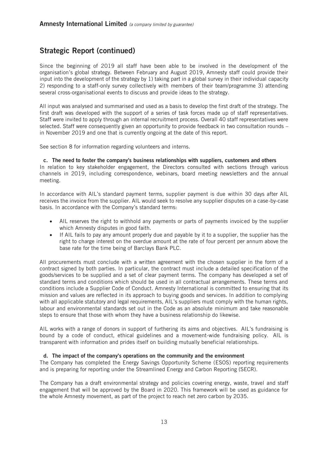Since the beginning of 2019 all staff have been able to be involved in the development of the organisation's global strategy. Between February and August 2019, Amnesty staff could provide their input into the development of the strategy by 1) taking part in a global survey in their individual capacity 2) responding to a staff-only survey collectively with members of their team/programme 3) attending several cross-organisational events to discuss and provide ideas to the strategy.

All input was analysed and summarised and used as a basis to develop the first draft of the strategy. The first draft was developed with the support of a series of task forces made up of staff representatives. Staff were invited to apply through an internal recruitment process. Overall 40 staff representatives were selected. Staff were consequently given an opportunity to provide feedback in two consultation rounds – in November 2019 and one that is currently ongoing at the date of this report.

See section 8 for information regarding volunteers and interns.

c. The need to foster the company's business relationships with suppliers, customers and others In relation to key stakeholder engagement, the Directors consulted with sections through various channels in 2019, including correspondence, webinars, board meeting newsletters and the annual meeting.

In accordance with AIL's standard payment terms, supplier payment is due within 30 days after AIL receives the invoice from the supplier. AIL would seek to resolve any supplier disputes on a case-by-case basis. In accordance with the Company's standard terms:

- · AIL reserves the right to withhold any payments or parts of payments invoiced by the supplier which Amnesty disputes in good faith.
- If AIL fails to pay any amount properly due and payable by it to a supplier, the supplier has the right to charge interest on the overdue amount at the rate of four percent per annum above the base rate for the time being of Barclays Bank PLC.

All procurements must conclude with a written agreement with the chosen supplier in the form of a contract signed by both parties. In particular, the contract must include a detailed specification of the goods/services to be supplied and a set of clear payment terms. The company has developed a set of standard terms and conditions which should be used in all contractual arrangements. These terms and conditions include a Supplier Code of Conduct. Amnesty International is committed to ensuring that its mission and values are reflected in its approach to buying goods and services. In addition to complying with all applicable statutory and legal requirements, AIL's suppliers must comply with the human rights, labour and environmental standards set out in the Code as an absolute minimum and take reasonable steps to ensure that those with whom they have a business relationship do likewise.

AIL works with a range of donors in support of furthering its aims and objectives. AIL's fundraising is bound by a code of conduct, ethical guidelines and a movement-wide fundraising policy. AIL is transparent with information and prides itself on building mutually beneficial relationships.

#### d. The impact of the company's operations on the community and the environment

The Company has completed the Energy Savings Opportunity Scheme (ESOS) reporting requirements and is preparing for reporting under the Streamlined Energy and Carbon Reporting (SECR).

The Company has a draft environmental strategy and policies covering energy, waste, travel and staff engagement that will be approved by the Board in 2020. This framework will be used as guidance for the whole Amnesty movement, as part of the project to reach net zero carbon by 2035.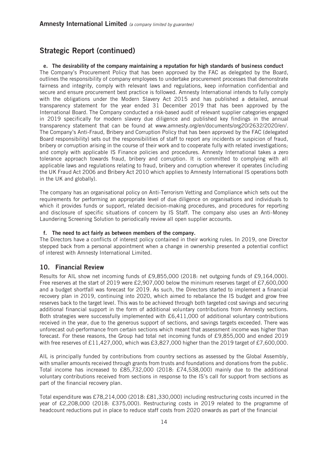#### e. The desirability of the company maintaining a reputation for high standards of business conduct

The Company's Procurement Policy that has been approved by the FAC as delegated by the Board, outlines the responsibility of company employees to undertake procurement processes that demonstrate fairness and integrity, comply with relevant laws and regulations, keep information confidential and secure and ensure procurement best practice is followed. Amnesty International intends to fully comply with the obligations under the Modern Slavery Act 2015 and has published a detailed, annual transparency statement for the year ended 31 December 2019 that has been approved by the International Board. The Company conducted a risk-based audit of relevant supplier categories engaged in 2019 specifically for modern slavery due diligence and published key findings in the annual transparency statement that can be found at www.amnesty.org/en/documents/org20/2632/2020/en/. The Company's Anti-Fraud, Bribery and Corruption Policy that has been approved by the FAC (delegated Board responsibility) sets out the responsibilities of staff to report any incidents or suspicion of fraud, bribery or corruption arising in the course of their work and to cooperate fully with related investigations; and comply with applicable IS Finance policies and procedures. Amnesty International takes a zero tolerance approach towards fraud, bribery and corruption. It is committed to complying with all applicable laws and regulations relating to fraud, bribery and corruption wherever it operates (including the UK Fraud Act 2006 and Bribery Act 2010 which applies to Amnesty International IS operations both in the UK and globally).

The company has an organisational policy on Anti-Terrorism Vetting and Compliance which sets out the requirements for performing an appropriate level of due diligence on organisations and individuals to which it provides funds or support, related decision-making procedures, and procedures for reporting and disclosure of specific situations of concern by IS Staff. The company also uses an Anti-Money Laundering Screening Solution to periodically review all open supplier accounts.

#### f. The need to act fairly as between members of the company.

The Directors have a conflicts of interest policy contained in their working rules. In 2019, one Director stepped back from a personal appointment when a change in ownership presented a potential conflict of interest with Amnesty International Limited.

#### 10. Financial Review

Results for AIL show net incoming funds of £9,855,000 (2018: net outgoing funds of £9,164,000). Free reserves at the start of 2019 were £2,907,000 below the minimum reserves target of £7,600,000 and a budget shortfall was forecast for 2019. As such, the Directors started to implement a financial recovery plan in 2019, continuing into 2020, which aimed to rebalance the IS budget and grow free reserves back to the target level. This was to be achieved through both targeted cost savings and securing additional financial support in the form of additional voluntary contributions from Amnesty sections. Both strategies were successfully implemented with £6,411,000 of additional voluntary contributions received in the year, due to the generous support of sections, and savings targets exceeded. There was unforecast out-performance from certain sections which meant that assessment income was higher than forecast. For these reasons, the Group had total net incoming funds of £9,855,000 and ended 2019 with free reserves of £11,427,000, which was £3,827,000 higher than the 2019 target of £7,600,000.

AIL is principally funded by contributions from country sections as assessed by the Global Assembly, with smaller amounts received through grants from trusts and foundations and donations from the public. Total income has increased to £85,732,000 (2018: £74,538,000) mainly due to the additional voluntary contributions received from sections in response to the IS's call for support from sections as part of the financial recovery plan.

Total expenditure was £78,214,000 (2018: £81,330,000) including restructuring costs incurred in the year of £2,208,000 (2018: £375,000). Restructuring costs in 2019 related to the programme of headcount reductions put in place to reduce staff costs from 2020 onwards as part of the financial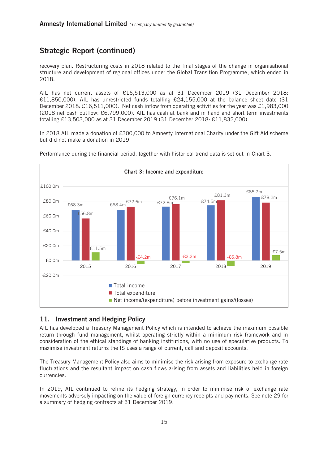recovery plan. Restructuring costs in 2018 related to the final stages of the change in organisational structure and development of regional offices under the Global Transition Programme, which ended in 2018.

AIL has net current assets of £16,513,000 as at 31 December 2019 (31 December 2018: £11,850,000). AIL has unrestricted funds totalling £24,155,000 at the balance sheet date (31 December 2018: £16,511,000). Net cash inflow from operating activities for the year was £1,983,000 (2018 net cash outflow: £6,799,000). AIL has cash at bank and in hand and short term investments totalling £13,503,000 as at 31 December 2019 (31 December 2018: £11,832,000).

In 2018 AIL made a donation of £300,000 to Amnesty International Charity under the Gift Aid scheme but did not make a donation in 2019.



Performance during the financial period, together with historical trend data is set out in Chart 3.

#### 11. Investment and Hedging Policy

AIL has developed a Treasury Management Policy which is intended to achieve the maximum possible return through fund management, whilst operating strictly within a minimum risk framework and in consideration of the ethical standings of banking institutions, with no use of speculative products. To maximise investment returns the IS uses a range of current, call and deposit accounts.

The Treasury Management Policy also aims to minimise the risk arising from exposure to exchange rate fluctuations and the resultant impact on cash flows arising from assets and liabilities held in foreign currencies.

In 2019, AIL continued to refine its hedging strategy, in order to minimise risk of exchange rate movements adversely impacting on the value of foreign currency receipts and payments. See note 29 for a summary of hedging contracts at 31 December 2019.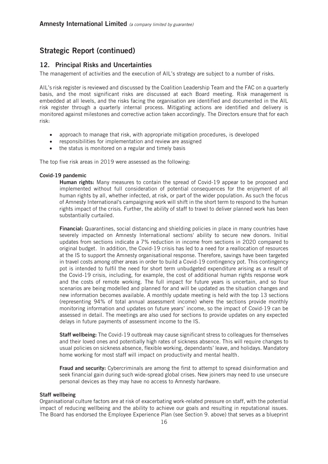#### 12. Principal Risks and Uncertainties

The management of activities and the execution of AIL's strategy are subject to a number of risks.

AIL's risk register is reviewed and discussed by the Coalition Leadership Team and the FAC on a quarterly basis, and the most significant risks are discussed at each Board meeting. Risk management is embedded at all levels, and the risks facing the organisation are identified and documented in the AIL risk register through a quarterly internal process. Mitigating actions are identified and delivery is monitored against milestones and corrective action taken accordingly. The Directors ensure that for each risk:

- · approach to manage that risk, with appropriate mitigation procedures, is developed
- · responsibilities for implementation and review are assigned
- · the status is monitored on a regular and timely basis

The top five risk areas in 2019 were assessed as the following:

#### Covid-19 pandemic

**Human rights:** Many measures to contain the spread of Covid-19 appear to be proposed and implemented without full consideration of potential consequences for the enjoyment of all human rights by all, whether infected, at risk, or part of the wider population. As such the focus of Amnesty International's campaigning work will shift in the short term to respond to the human rights impact of the crisis. Further, the ability of staff to travel to deliver planned work has been substantially curtailed.

Financial: Quarantines, social distancing and shielding policies in place in many countries have severely impacted on Amnesty International sections' ability to secure new donors. Initial updates from sections indicate a 7% reduction in income from sections in 2020 compared to original budget. In addition, the Covid-19 crisis has led to a need for a reallocation of resources at the IS to support the Amnesty organisational response. Therefore, savings have been targeted in travel costs among other areas in order to build a Covid-19 contingency pot. This contingency pot is intended to fulfil the need for short term unbudgeted expenditure arising as a result of the Covid-19 crisis, including, for example, the cost of additional human rights response work and the costs of remote working. The full impact for future years is uncertain, and so four scenarios are being modelled and planned for and will be updated as the situation changes and new information becomes available. A monthly update meeting is held with the top 13 sections (representing 94% of total annual assessment income) where the sections provide monthly monitoring information and updates on future years' income, so the impact of Covid-19 can be assessed in detail. The meetings are also used for sections to provide updates on any expected delays in future payments of assessment income to the IS.

Staff wellbeing: The Covid-19 outbreak may cause significant stress to colleagues for themselves and their loved ones and potentially high rates of sickness absence. This will require changes to usual policies on sickness absence, flexible working, dependants' leave, and holidays. Mandatory home working for most staff will impact on productivity and mental health.

Fraud and security: Cybercriminals are among the first to attempt to spread disinformation and seek financial gain during such wide-spread global crises. New joiners may need to use unsecure personal devices as they may have no access to Amnesty hardware.

#### Staff wellbeing

Organisational culture factors are at risk of exacerbating work-related pressure on staff, with the potential impact of reducing wellbeing and the ability to achieve our goals and resulting in reputational issues. The Board has endorsed the Employee Experience Plan (see Section 9. above) that serves as a blueprint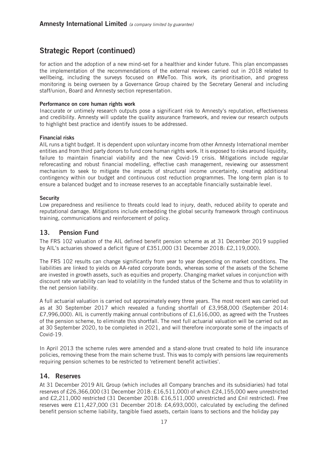for action and the adoption of a new mind-set for a healthier and kinder future. This plan encompasses the implementation of the recommendations of the external reviews carried out in 2018 related to wellbeing, including the surveys focused on #MeToo. This work, its prioritisation, and progress monitoring is being overseen by a Governance Group chaired by the Secretary General and including staff/union, Board and Amnesty section representation.

#### Performance on core human rights work

Inaccurate or untimely research outputs pose a significant risk to Amnesty's reputation, effectiveness and credibility. Amnesty will update the quality assurance framework, and review our research outputs to highlight best practice and identify issues to be addressed.

#### Financial risks

AIL runs a tight budget. It is dependent upon voluntary income from other Amnesty International member entities and from third party donors to fund core human rights work. It is exposed to risks around liquidity, failure to maintain financial viability and the new Covid-19 crisis. Mitigations include regular reforecasting and robust financial modelling, effective cash management, reviewing our assessment mechanism to seek to mitigate the impacts of structural income uncertainty, creating additional contingency within our budget and continuous cost reduction programmes. The long-term plan is to ensure a balanced budget and to increase reserves to an acceptable financially sustainable level.

#### **Security**

Low preparedness and resilience to threats could lead to injury, death, reduced ability to operate and reputational damage. Mitigations include embedding the global security framework through continuous training, communications and reinforcement of policy.

#### 13. Pension Fund

The FRS 102 valuation of the AIL defined benefit pension scheme as at 31 December 2019 supplied by AIL's actuaries showed a deficit figure of £351,000 (31 December 2018: £2,119,000).

The FRS 102 results can change significantly from year to year depending on market conditions. The liabilities are linked to yields on AA-rated corporate bonds, whereas some of the assets of the Scheme are invested in growth assets, such as equities and property. Changing market values in conjunction with discount rate variability can lead to volatility in the funded status of the Scheme and thus to volatility in the net pension liability.

A full actuarial valuation is carried out approximately every three years. The most recent was carried out as at 30 September 2017 which revealed a funding shortfall of £3,958,000 (September 2014: £7,996,000). AIL is currently making annual contributions of £1,616,000, as agreed with the Trustees of the pension scheme, to eliminate this shortfall. The next full actuarial valuation will be carried out as at 30 September 2020, to be completed in 2021, and will therefore incorporate some of the impacts of Covid-19.

In April 2013 the scheme rules were amended and a stand-alone trust created to hold life insurance policies, removing these from the main scheme trust. This was to comply with pensions law requirements requiring pension schemes to be restricted to 'retirement benefit activities'.

#### 14. Reserves

At 31 December 2019 AIL Group (which includes all Company branches and its subsidiaries) had total reserves of £26,366,000 (31 December 2018: £16,511,000) of which £24,155,000 were unrestricted and £2,211,000 restricted (31 December 2018: £16,511,000 unrestricted and £nil restricted). Free reserves were £11,427,000 (31 December 2018: £4,693,000), calculated by excluding the defined benefit pension scheme liability, tangible fixed assets, certain loans to sections and the holiday pay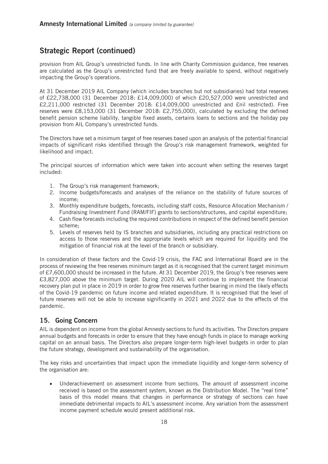provision from AIL Group's unrestricted funds. In line with Charity Commission guidance, free reserves are calculated as the Group's unrestricted fund that are freely available to spend, without negatively impacting the Group's operations.

At 31 December 2019 AIL Company (which includes branches but not subsidiaries) had total reserves of £22,738,000 (31 December 2018: £14,009,000) of which £20,527,000 were unrestricted and £2,211,000 restricted (31 December 2018: £14,009,000 unrestricted and £nil restricted). Free reserves were £8,153,000 (31 December 2018: £2,755,000), calculated by excluding the defined benefit pension scheme liability, tangible fixed assets, certains loans to sections and the holiday pay provision from AIL Company's unrestricted funds.

The Directors have set a minimum target of free reserves based upon an analysis of the potential financial impacts of significant risks identified through the Group's risk management framework, weighted for likelihood and impact.

The principal sources of information which were taken into account when setting the reserves target included:

- 1. The Group's risk management framework;
- 2. Income budgets/forecasts and analyses of the reliance on the stability of future sources of income;
- 3. Monthly expenditure budgets, forecasts, including staff costs, Resource Allocation Mechanism / Fundraising Investment Fund (RAM/FIF) grants to sections/structures, and capital expenditure;
- 4. Cash flow forecasts including the required contributions in respect of the defined benefit pension scheme;
- 5. Levels of reserves held by IS branches and subsidiaries, including any practical restrictions on access to those reserves and the appropriate levels which are required for liquidity and the mitigation of financial risk at the level of the branch or subsidiary.

In consideration of these factors and the Covid-19 crisis, the FAC and International Board are in the process of reviewing the free reserves minimum target as it is recognised that the current target minimum of £7,600,000 should be increased in the future. At 31 December 2019, the Group's free reserves were £3,827,000 above the minimum target. During 2020 AIL will continue to implement the financial recovery plan put in place in 2019 in order to grow free reserves further bearing in mind the likely effects of the Covid-19 pandemic on future income and related expenditure. It is recognised that the level of future reserves will not be able to increase significantly in 2021 and 2022 due to the effects of the pandemic.

#### 15. Going Concern

AIL is dependent on income from the global Amnesty sections to fund its activities. The Directors prepare annual budgets and forecasts in order to ensure that they have enough funds in place to manage working capital on an annual basis. The Directors also prepare longer-term high-level budgets in order to plan the future strategy, development and sustainability of the organisation.

The key risks and uncertainties that impact upon the immediate liquidity and longer-term solvency of the organisation are:

· Underachievement on assessment income from sections. The amount of assessment income received is based on the assessment system, known as the Distribution Model. The "real time" basis of this model means that changes in performance or strategy of sections can have immediate detrimental impacts to AIL's assessment income. Any variation from the assessment income payment schedule would present additional risk.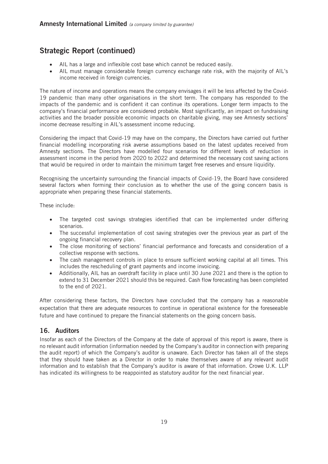- AIL has a large and inflexible cost base which cannot be reduced easily.
- · AIL must manage considerable foreign currency exchange rate risk, with the majority of AIL's income received in foreign currencies.

The nature of income and operations means the company envisages it will be less affected by the Covid-19 pandemic than many other organisations in the short term. The company has responded to the impacts of the pandemic and is confident it can continue its operations. Longer term impacts to the company's financial performance are considered probable. Most significantly, an impact on fundraising activities and the broader possible economic impacts on charitable giving, may see Amnesty sections' income decrease resulting in AIL's assessment income reducing.

Considering the impact that Covid-19 may have on the company, the Directors have carried out further financial modelling incorporating risk averse assumptions based on the latest updates received from Amnesty sections. The Directors have modelled four scenarios for different levels of reduction in assessment income in the period from 2020 to 2022 and determined the necessary cost saving actions that would be required in order to maintain the minimum target free reserves and ensure liquidity.

Recognising the uncertainty surrounding the financial impacts of Covid-19, the Board have considered several factors when forming their conclusion as to whether the use of the going concern basis is appropriate when preparing these financial statements.

These include:

- The targeted cost savings strategies identified that can be implemented under differing scenarios.
- The successful implementation of cost saving strategies over the previous year as part of the ongoing financial recovery plan.
- · The close monitoring of sections' financial performance and forecasts and consideration of a collective response with sections.
- The cash management controls in place to ensure sufficient working capital at all times. This includes the rescheduling of grant payments and income invoicing.
- · Additionally, AIL has an overdraft facility in place until 30 June 2021 and there is the option to extend to 31 December 2021 should this be required. Cash flow forecasting has been completed to the end of 2021.

After considering these factors, the Directors have concluded that the company has a reasonable expectation that there are adequate resources to continue in operational existence for the foreseeable future and have continued to prepare the financial statements on the going concern basis.

#### 16. Auditors

Insofar as each of the Directors of the Company at the date of approval of this report is aware, there is no relevant audit information (information needed by the Company's auditor in connection with preparing the audit report) of which the Company's auditor is unaware. Each Director has taken all of the steps that they should have taken as a Director in order to make themselves aware of any relevant audit information and to establish that the Company's auditor is aware of that information. Crowe U.K. LLP has indicated its willingness to be reappointed as statutory auditor for the next financial year.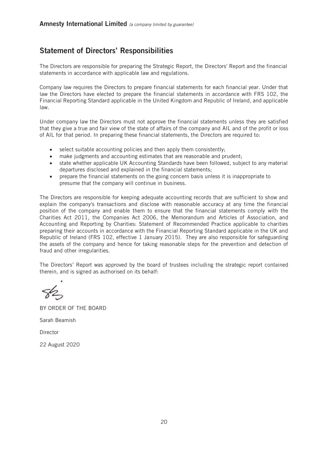### Statement of Directors' Responsibilities

The Directors are responsible for preparing the Strategic Report, the Directors' Report and the financial statements in accordance with applicable law and regulations.

Company law requires the Directors to prepare financial statements for each financial year. Under that law the Directors have elected to prepare the financial statements in accordance with FRS 102, the Financial Reporting Standard applicable in the United Kingdom and Republic of Ireland, and applicable law.

Under company law the Directors must not approve the financial statements unless they are satisfied that they give a true and fair view of the state of affairs of the company and AIL and of the profit or loss of AIL for that period. In preparing these financial statements, the Directors are required to:

- · select suitable accounting policies and then apply them consistently;
- · make judgments and accounting estimates that are reasonable and prudent;
- state whether applicable UK Accounting Standards have been followed, subject to any material departures disclosed and explained in the financial statements;
- · prepare the financial statements on the going concern basis unless it is inappropriate to presume that the company will continue in business.

The Directors are responsible for keeping adequate accounting records that are sufficient to show and explain the company's transactions and disclose with reasonable accuracy at any time the financial position of the company and enable them to ensure that the financial statements comply with the Charities Act 2011, the Companies Act 2006, the Memorandum and Articles of Association, and Accounting and Reporting by Charities: Statement of Recommended Practice applicable to charities preparing their accounts in accordance with the Financial Reporting Standard applicable in the UK and Republic of Ireland (FRS 102, effective 1 January 2015). They are also responsible for safeguarding the assets of the company and hence for taking reasonable steps for the prevention and detection of fraud and other irregularities.

The Directors' Report was approved by the board of trustees including the strategic report contained therein, and is signed as authorised on its behalf:

BY ORDER OF THE BOARD

Sarah Beamish

Director

22 August 2020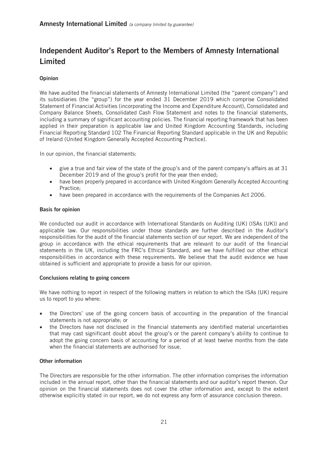## Independent Auditor's Report to the Members of Amnesty International **Limited**

#### **Opinion**

We have audited the financial statements of Amnesty International Limited (the "parent company") and its subsidiaries (the "group") for the year ended 31 December 2019 which comprise Consolidated Statement of Financial Activities (incorporating the Income and Expenditure Account), Consolidated and Company Balance Sheets, Consolidated Cash Flow Statement and notes to the financial statements, including a summary of significant accounting policies. The financial reporting framework that has been applied in their preparation is applicable law and United Kingdom Accounting Standards, including Financial Reporting Standard 102 The Financial Reporting Standard applicable in the UK and Republic of Ireland (United Kingdom Generally Accepted Accounting Practice).

In our opinion, the financial statements:

- give a true and fair view of the state of the group's and of the parent company's affairs as at 31 December 2019 and of the group's profit for the year then ended;
- · have been properly prepared in accordance with United Kingdom Generally Accepted Accounting Practice;
- · have been prepared in accordance with the requirements of the Companies Act 2006.

#### Basis for opinion

We conducted our audit in accordance with International Standards on Auditing (UK) (ISAs (UK)) and applicable law. Our responsibilities under those standards are further described in the Auditor's responsibilities for the audit of the financial statements section of our report. We are independent of the group in accordance with the ethical requirements that are relevant to our audit of the financial statements in the UK, including the FRC's Ethical Standard, and we have fulfilled our other ethical responsibilities in accordance with these requirements. We believe that the audit evidence we have obtained is sufficient and appropriate to provide a basis for our opinion.

#### Conclusions relating to going concern

We have nothing to report in respect of the following matters in relation to which the ISAs (UK) require us to report to you where:

- the Directors' use of the going concern basis of accounting in the preparation of the financial statements is not appropriate; or
- · the Directors have not disclosed in the financial statements any identified material uncertainties that may cast significant doubt about the group's or the parent company's ability to continue to adopt the going concern basis of accounting for a period of at least twelve months from the date when the financial statements are authorised for issue.

#### Other information

The Directors are responsible for the other information. The other information comprises the information included in the annual report, other than the financial statements and our auditor's report thereon. Our opinion on the financial statements does not cover the other information and, except to the extent otherwise explicitly stated in our report, we do not express any form of assurance conclusion thereon.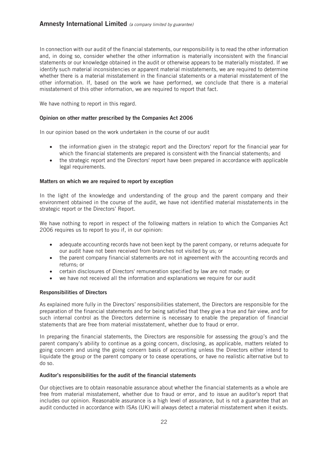In connection with our audit of the financial statements, our responsibility is to read the other information and, in doing so, consider whether the other information is materially inconsistent with the financial statements or our knowledge obtained in the audit or otherwise appears to be materially misstated. If we identify such material inconsistencies or apparent material misstatements, we are required to determine whether there is a material misstatement in the financial statements or a material misstatement of the other information. If, based on the work we have performed, we conclude that there is a material misstatement of this other information, we are required to report that fact.

We have nothing to report in this regard.

#### Opinion on other matter prescribed by the Companies Act 2006

In our opinion based on the work undertaken in the course of our audit

- · the information given in the strategic report and the Directors' report for the financial year for which the financial statements are prepared is consistent with the financial statements; and
- · the strategic report and the Directors' report have been prepared in accordance with applicable legal requirements.

#### Matters on which we are required to report by exception

In the light of the knowledge and understanding of the group and the parent company and their environment obtained in the course of the audit, we have not identified material misstatements in the strategic report or the Directors' Report.

We have nothing to report in respect of the following matters in relation to which the Companies Act 2006 requires us to report to you if, in our opinion:

- · adequate accounting records have not been kept by the parent company, or returns adequate for our audit have not been received from branches not visited by us; or
- the parent company financial statements are not in agreement with the accounting records and returns; or
- · certain disclosures of Directors' remuneration specified by law are not made; or
- · we have not received all the information and explanations we require for our audit

#### Responsibilities of Directors

As explained more fully in the Directors' responsibilities statement, the Directors are responsible for the preparation of the financial statements and for being satisfied that they give a true and fair view, and for such internal control as the Directors determine is necessary to enable the preparation of financial statements that are free from material misstatement, whether due to fraud or error.

In preparing the financial statements, the Directors are responsible for assessing the group's and the parent company's ability to continue as a going concern, disclosing, as applicable, matters related to going concern and using the going concern basis of accounting unless the Directors either intend to liquidate the group or the parent company or to cease operations, or have no realistic alternative but to do so.

#### Auditor's responsibilities for the audit of the financial statements

Our objectives are to obtain reasonable assurance about whether the financial statements as a whole are free from material misstatement, whether due to fraud or error, and to issue an auditor's report that includes our opinion. Reasonable assurance is a high level of assurance, but is not a guarantee that an audit conducted in accordance with ISAs (UK) will always detect a material misstatement when it exists.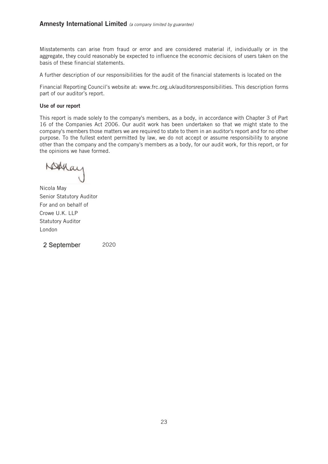Misstatements can arise from fraud or error and are considered material if, individually or in the aggregate, they could reasonably be expected to influence the economic decisions of users taken on the basis of these financial statements.

A further description of our responsibilities for the audit of the financial statements is located on the

Financial Reporting Council's website at: www.frc.org.uk/auditorsresponsibilities. This description forms part of our auditor's report.

#### Use of our report

This report is made solely to the company's members, as a body, in accordance with Chapter 3 of Part 16 of the Companies Act 2006. Our audit work has been undertaken so that we might state to the company's members those matters we are required to state to them in an auditor's report and for no other purpose. To the fullest extent permitted by law, we do not accept or assume responsibility to anyone other than the company and the company's members as a body, for our audit work, for this report, or for the opinions we have formed.

Nexhay

Nicola May Senior Statutory Auditor For and on behalf of Crowe U.K. LLP Statutory Auditor London

2 September 2020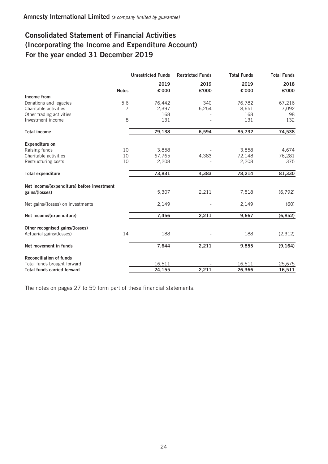### Consolidated Statement of Financial Activities (Incorporating the Income and Expenditure Account) For the year ended 31 December 2019

|                                            |              | <b>Unrestricted Funds</b> | <b>Restricted Funds</b> | <b>Total Funds</b> | <b>Total Funds</b> |
|--------------------------------------------|--------------|---------------------------|-------------------------|--------------------|--------------------|
|                                            | <b>Notes</b> | 2019<br>£'000             | 2019<br>£'000           | 2019<br>£'000      | 2018<br>£'000      |
| Income from                                |              |                           |                         |                    |                    |
| Donations and legacies                     | 5,6          | 76,442                    | 340                     | 76,782             | 67,216             |
| Charitable activities                      | 7            | 2,397                     | 6,254                   | 8,651              | 7,092              |
| Other trading activities                   |              | 168                       |                         | 168                | 98                 |
| Investment income                          | 8            | 131                       |                         | 131                | 132                |
| <b>Total income</b>                        |              | 79,138                    | 6,594                   | 85,732             | 74,538             |
| Expenditure on                             |              |                           |                         |                    |                    |
| Raising funds                              | 10           | 3,858                     |                         | 3,858              | 4,674              |
| Charitable activities                      | 10           | 67,765                    | 4,383                   | 72,148             | 76,281             |
| Restructuring costs                        | 10           | 2,208                     |                         | 2,208              | 375                |
| <b>Total expenditure</b>                   |              | 73,831                    | 4,383                   | 78,214             | 81,330             |
| Net income/(expenditure) before investment |              |                           |                         |                    |                    |
| gains/(losses)                             |              | 5,307                     | 2,211                   | 7,518              | (6, 792)           |
| Net gains/(losses) on investments          |              | 2,149                     |                         | 2,149              | (60)               |
| Net income/(expenditure)                   |              | 7,456                     | 2,211                   | 9,667              | (6, 852)           |
| Other recognised gains/(losses)            |              |                           |                         |                    |                    |
| Actuarial gains/(losses)                   | 14           | 188                       |                         | 188                | (2,312)            |
| Net movement in funds                      |              | 7,644                     | 2,211                   | 9,855              | (9, 164)           |
| <b>Reconciliation of funds</b>             |              |                           |                         |                    |                    |
| Total funds brought forward                |              | 16,511                    |                         | 16,511             | 25,675             |
| <b>Total funds carried forward</b>         |              | 24.155                    | 2,211                   | 26,366             | 16,511             |

The notes on pages 27 to 59 form part of these financial statements.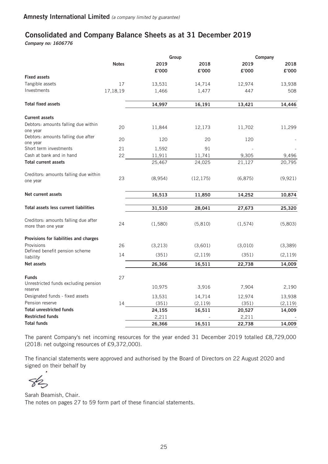### Consolidated and Company Balance Sheets as at 31 December 2019

Company no: 1606776

|                                                            |              | Group    |           |          | Company  |
|------------------------------------------------------------|--------------|----------|-----------|----------|----------|
|                                                            | <b>Notes</b> | 2019     | 2018      | 2019     | 2018     |
|                                                            |              | £'000    | £'000     | £'000    | £'000    |
| <b>Fixed assets</b>                                        |              |          |           |          |          |
| Tangible assets                                            | 17           | 13,531   | 14,714    | 12,974   | 13,938   |
| Investments                                                | 17,18,19     | 1,466    | 1,477     | 447      | 508      |
| <b>Total fixed assets</b>                                  |              | 14,997   | 16,191    | 13,421   | 14,446   |
| <b>Current assets</b>                                      |              |          |           |          |          |
| Debtors: amounts falling due within<br>one year            | 20           | 11,844   | 12,173    | 11,702   | 11,299   |
| Debtors: amounts falling due after<br>one year             | 20           | 120      | 20        | 120      |          |
| Short term investments                                     | 21           | 1,592    | 91        |          |          |
| Cash at bank and in hand                                   | 22           | 11,911   | 11,741    | 9,305    | 9,496    |
| <b>Total current assets</b>                                |              | 25,467   | 24,025    | 21,127   | 20,795   |
| Creditors: amounts falling due within<br>one year          | 23           | (8,954)  | (12, 175) | (6, 875) | (9,921)  |
| Net current assets                                         |              | 16,513   | 11,850    | 14,252   | 10,874   |
| Total assets less current liabilities                      |              | 31,510   | 28,041    | 27,673   | 25,320   |
|                                                            |              |          |           |          |          |
| Creditors: amounts falling due after<br>more than one year | 24           | (1,580)  | (5,810)   | (1, 574) | (5,803)  |
| Provisions for liabilities and charges                     |              |          |           |          |          |
| Provisions                                                 | 26           | (3, 213) | (3,601)   | (3,010)  | (3,389)  |
| Defined benefit pension scheme<br>liability                | 14           | (351)    | (2, 119)  | (351)    | (2, 119) |
| Net assets                                                 |              | 26,366   | 16,511    | 22,738   | 14,009   |
| <b>Funds</b>                                               | 27           |          |           |          |          |
| Unrestricted funds excluding pension<br>reserve            |              | 10,975   | 3,916     | 7,904    | 2,190    |
| Designated funds - fixed assets                            |              | 13,531   | 14,714    | 12,974   | 13,938   |
| Pension reserve                                            | 14           | (351)    | (2, 119)  | (351)    | (2, 119) |
| <b>Total unrestricted funds</b>                            |              | 24,155   | 16,511    | 20,527   | 14,009   |
| <b>Restricted funds</b>                                    |              | 2,211    |           | 2,211    |          |
| <b>Total funds</b>                                         |              | 26,366   | 16,511    | 22,738   | 14,009   |

The parent Company's net incoming resources for the year ended 31 December 2019 totalled £8,729,000 (2018: net outgoing resources of £9,372,000).

The financial statements were approved and authorised by the Board of Directors on 22 August 2020 and signed on their behalf by

Sarah Beamish, Chair. The notes on pages 27 to 59 form part of these financial statements.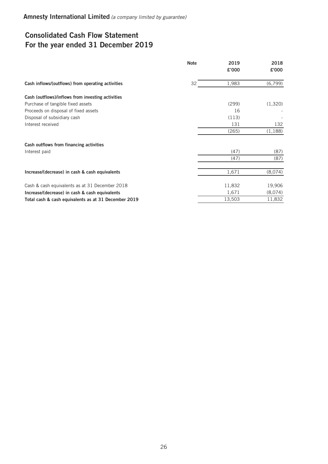### For the year ended 31 December 2019 Consolidated Cash Flow Statement

|                                                      | <b>Note</b> | 2019   | 2018     |
|------------------------------------------------------|-------------|--------|----------|
|                                                      |             | £'000  | £'000    |
| Cash inflows/(outflows) from operating activities    | 32          | 1,983  | (6,799)  |
| Cash (outflows)/inflows from investing activities    |             |        |          |
| Purchase of tangible fixed assets                    |             | (299)  | (1,320)  |
| Proceeds on disposal of fixed assets                 |             | 16     |          |
| Disposal of subsidiary cash                          |             | (113)  |          |
| Interest received                                    |             | 131    | 132      |
|                                                      |             | (265)  | (1, 188) |
| Cash outflows from financing activities              |             |        |          |
| Interest paid                                        |             | (47)   | (87)     |
|                                                      |             | (47)   | (87)     |
| Increase/(decrease) in cash & cash equivalents       |             | 1,671  | (8,074)  |
| Cash & cash equivalents as at 31 December 2018       |             | 11,832 | 19,906   |
| Increase/(decrease) in cash & cash equivalents       |             | 1,671  | (8,074)  |
| Total cash & cash equivalents as at 31 December 2019 |             | 13,503 | 11,832   |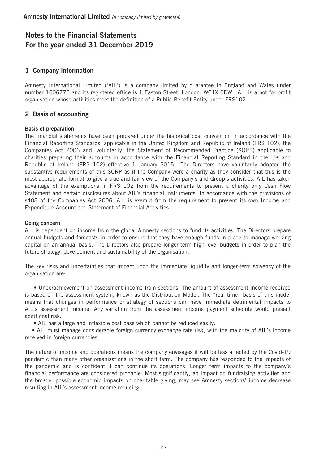### Notes to the Financial Statements For the year ended 31 December 2019

#### 1 Company information

Amnesty International Limited ("AIL") is a company limited by guarantee in England and Wales under number 1606776 and its registered office is 1 Easton Street, London, WC1X 0DW. AIL is a not for profit organisation whose activities meet the definition of a Public Benefit Entity under FRS102.

#### 2 Basis of accounting

#### Basis of preparation

The financial statements have been prepared under the historical cost convention in accordance with the Financial Reporting Standards, applicable in the United Kingdom and Republic of Ireland (FRS 102), the Companies Act 2006 and, voluntarily, the Statement of Recommended Practice (SORP) applicable to charities preparing their accounts in accordance with the Financial Reporting Standard in the UK and Republic of Ireland (FRS 102) effective 1 January 2015. The Directors have voluntarily adopted the substantive requirements of this SORP as if the Company were a charity as they consider that this is the most appropriate format to give a true and fair view of the Company's and Group's activities. AIL has taken advantage of the exemptions in FRS 102 from the requirements to present a charity only Cash Flow Statement and certain disclosures about AIL's financial instruments. In accordance with the provisions of s408 of the Companies Act 2006, AIL is exempt from the requirement to present its own Income and Expenditure Account and Statement of Financial Activities.

#### Going concern

AIL is dependent on income from the global Amnesty sections to fund its activities. The Directors prepare annual budgets and forecasts in order to ensure that they have enough funds in place to manage working capital on an annual basis. The Directors also prepare longer-term high-level budgets in order to plan the future strategy, development and sustainability of the organisation.

The key risks and uncertainties that impact upon the immediate liquidity and longer-term solvency of the organisation are:

• Underachievement on assessment income from sections. The amount of assessment income received is based on the assessment system, known as the Distribution Model. The "real time" basis of this model means that changes in performance or strategy of sections can have immediate detrimental impacts to AIL's assessment income. Any variation from the assessment income payment schedule would present additional risk.

• AIL has a large and inflexible cost base which cannot be reduced easily.

• AIL must manage considerable foreign currency exchange rate risk, with the majority of AIL's income received in foreign currencies.

The nature of income and operations means the company envisages it will be less affected by the Covid-19 pandemic than many other organisations in the short term. The company has responded to the impacts of the pandemic and is confident it can continue its operations. Longer term impacts to the company's financial performance are considered probable. Most significantly, an impact on fundraising activities and the broader possible economic impacts on charitable giving, may see Amnesty sections' income decrease resulting in AIL's assessment income reducing.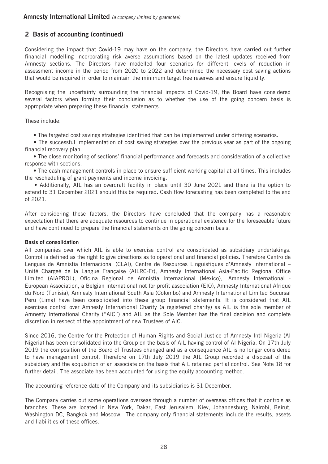#### 2 Basis of accounting (continued)

Considering the impact that Covid-19 may have on the company, the Directors have carried out further financial modelling incorporating risk averse assumptions based on the latest updates received from Amnesty sections. The Directors have modelled four scenarios for different levels of reduction in assessment income in the period from 2020 to 2022 and determined the necessary cost saving actions that would be required in order to maintain the minimum target free reserves and ensure liquidity.

Recognising the uncertainty surrounding the financial impacts of Covid-19, the Board have considered several factors when forming their conclusion as to whether the use of the going concern basis is appropriate when preparing these financial statements.

#### These include:

• The targeted cost savings strategies identified that can be implemented under differing scenarios.

• The successful implementation of cost saving strategies over the previous year as part of the ongoing financial recovery plan.

 • The close monitoring of sections' financial performance and forecasts and consideration of a collective response with sections.

• The cash management controls in place to ensure sufficient working capital at all times. This includes the rescheduling of grant payments and income invoicing.

• Additionally, AIL has an overdraft facility in place until 30 June 2021 and there is the option to extend to 31 December 2021 should this be required. Cash flow forecasting has been completed to the end of 2021.

After considering these factors, the Directors have concluded that the company has a reasonable expectation that there are adequate resources to continue in operational existence for the foreseeable future and have continued to prepare the financial statements on the going concern basis.

#### Basis of consolidation

All companies over which AIL is able to exercise control are consolidated as subsidiary undertakings. Control is defined as the right to give directions as to operational and financial policies. Therefore Centro de Lenguas de Amnistia Internacional (CLAI), Centre de Resources Linguistiques d'Amnesty International – Unité Chargeé de la Langue Française (AILRC-Fr), Amnesty International Asia-Pacific Regional Office Limited (AIAPROL), Oficina Regional de Amnistía Internacional (Mexico), Amnesty International - European Association, a Belgian international not for profit association (EIO), Amnesty International Afrique du Nord (Tunisia), Amnesty International South Asia (Colombo) and Amnesty International Limited Sucursal Peru (Lima) have been consolidated into these group financial statements. It is considered that AIL exercises control over Amnesty International Charity (a registered charity) as AIL is the sole member of Amnesty International Charity ("AIC") and AIL as the Sole Member has the final decision and complete discretion in respect of the appointment of new Trustees of AIC.

Since 2016, the Centre for the Protection of Human Rights and Social Justice of Amnesty Intl Nigeria (AI Nigeria) has been consolidated into the Group on the basis of AIL having control of AI Nigeria. On 17th July 2019 the composition of the Board of Trustees changed and as a consequence AIL is no longer considered to have management control. Therefore on 17th July 2019 the AIL Group recorded a disposal of the subsidiary and the acquisition of an associate on the basis that AIL retained partial control. See Note 18 for further detail. The associate has been accounted for using the equity accounting method.

The accounting reference date of the Company and its subsidiaries is 31 December.

The Company carries out some operations overseas through a number of overseas offices that it controls as branches. These are located in New York, Dakar, East Jerusalem, Kiev, Johannesburg, Nairobi, Beirut, Washington DC, Bangkok and Moscow. The company only financial statements include the results, assets and liabilities of these offices.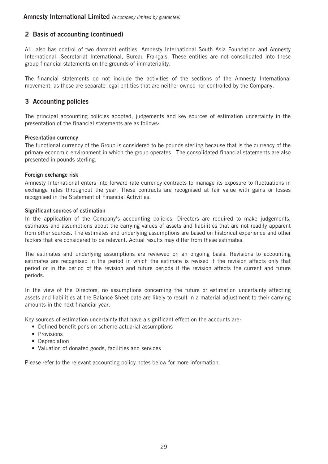### 2 Basis of accounting (continued)

AIL also has control of two dormant entities: Amnesty International South Asia Foundation and Amnesty International, Secretariat International, Bureau Français. These entities are not consolidated into these group financial statements on the grounds of immateriality.

The financial statements do not include the activities of the sections of the Amnesty International movement, as these are separate legal entities that are neither owned nor controlled by the Company.

#### 3 Accounting policies

The principal accounting policies adopted, judgements and key sources of estimation uncertainty in the presentation of the financial statements are as follows:

#### Presentation currency

The functional currency of the Group is considered to be pounds sterling because that is the currency of the primary economic environment in which the group operates. The consolidated financial statements are also presented in pounds sterling.

#### Foreign exchange risk

Amnesty International enters into forward rate currency contracts to manage its exposure to fluctuations in exchange rates throughout the year. These contracts are recognised at fair value with gains or losses recognised in the Statement of Financial Activities.

#### Significant sources of estimation

In the application of the Company's accounting policies, Directors are required to make judgements, estimates and assumptions about the carrying values of assets and liabilities that are not readily apparent from other sources. The estimates and underlying assumptions are based on historical experience and other factors that are considered to be relevant. Actual results may differ from these estimates.

The estimates and underlying assumptions are reviewed on an ongoing basis. Revisions to accounting estimates are recognised in the period in which the estimate is revised if the revision affects only that period or in the period of the revision and future periods if the revision affects the current and future periods.

In the view of the Directors, no assumptions concerning the future or estimation uncertainty affecting assets and liabilities at the Balance Sheet date are likely to result in a material adjustment to their carrying amounts in the next financial year.

Key sources of estimation uncertainty that have a significant effect on the accounts are:

- Defined benefit pension scheme actuarial assumptions
- Provisions
- Depreciation
- Valuation of donated goods, facilities and services

Please refer to the relevant accounting policy notes below for more information.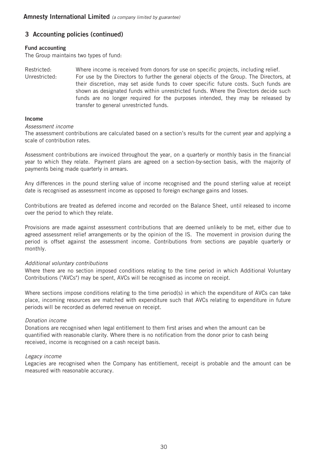#### Fund accounting

The Group maintains two types of fund:

Unrestricted: Restricted: For use by the Directors to further the general objects of the Group. The Directors, at their discretion, may set aside funds to cover specific future costs. Such funds are shown as designated funds within unrestricted funds. Where the Directors decide such funds are no longer required for the purposes intended, they may be released by transfer to general unrestricted funds. Where income is received from donors for use on specific projects, including relief.

#### Income

#### Assessment income

The assessment contributions are calculated based on a section's results for the current year and applying a scale of contribution rates.

Assessment contributions are invoiced throughout the year, on a quarterly or monthly basis in the financial year to which they relate. Payment plans are agreed on a section-by-section basis, with the majority of payments being made quarterly in arrears.

Any differences in the pound sterling value of income recognised and the pound sterling value at receipt date is recognised as assessment income as opposed to foreign exchange gains and losses.

Contributions are treated as deferred income and recorded on the Balance Sheet, until released to income over the period to which they relate.

Provisions are made against assessment contributions that are deemed unlikely to be met, either due to agreed assessment relief arrangements or by the opinion of the IS. The movement in provision during the period is offset against the assessment income. Contributions from sections are payable quarterly or monthly.

#### Additional voluntary contributions

Where there are no section imposed conditions relating to the time period in which Additional Voluntary Contributions ("AVCs") may be spent, AVCs will be recognised as income on receipt.

Where sections impose conditions relating to the time period(s) in which the expenditure of AVCs can take place, incoming resources are matched with expenditure such that AVCs relating to expenditure in future periods will be recorded as deferred revenue on receipt.

#### Donation income

Donations are recognised when legal entitlement to them first arises and when the amount can be quantified with reasonable clarity. Where there is no notification from the donor prior to cash being received, income is recognised on a cash receipt basis.

#### Legacy income

Legacies are recognised when the Company has entitlement, receipt is probable and the amount can be measured with reasonable accuracy.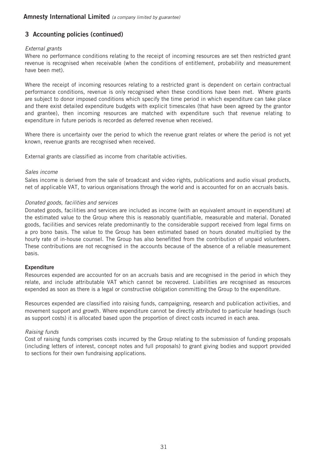#### External grants

Where no performance conditions relating to the receipt of incoming resources are set then restricted grant revenue is recognised when receivable (when the conditions of entitlement, probability and measurement have been met).

Where the receipt of incoming resources relating to a restricted grant is dependent on certain contractual performance conditions, revenue is only recognised when these conditions have been met. Where grants are subject to donor imposed conditions which specify the time period in which expenditure can take place and there exist detailed expenditure budgets with explicit timescales (that have been agreed by the grantor and grantee), then incoming resources are matched with expenditure such that revenue relating to expenditure in future periods is recorded as deferred revenue when received.

Where there is uncertainty over the period to which the revenue grant relates or where the period is not yet known, revenue grants are recognised when received.

External grants are classified as income from charitable activities.

#### Sales income

Sales income is derived from the sale of broadcast and video rights, publications and audio visual products, net of applicable VAT, to various organisations through the world and is accounted for on an accruals basis.

#### Donated goods, facilities and services

Donated goods, facilities and services are included as income (with an equivalent amount in expenditure) at the estimated value to the Group where this is reasonably quantifiable, measurable and material. Donated goods, facilities and services relate predominantly to the considerable support received from legal firms on a pro bono basis. The value to the Group has been estimated based on hours donated multiplied by the hourly rate of in-house counsel. The Group has also benefitted from the contribution of unpaid volunteers. These contributions are not recognised in the accounts because of the absence of a reliable measurement basis.

#### **Expenditure**

Resources expended are accounted for on an accruals basis and are recognised in the period in which they relate, and include attributable VAT which cannot be recovered. Liabilities are recognised as resources expended as soon as there is a legal or constructive obligation committing the Group to the expenditure.

Resources expended are classified into raising funds, campaigning, research and publication activities, and movement support and growth. Where expenditure cannot be directly attributed to particular headings (such as support costs) it is allocated based upon the proportion of direct costs incurred in each area.

#### Raising funds

Cost of raising funds comprises costs incurred by the Group relating to the submission of funding proposals (including letters of interest, concept notes and full proposals) to grant giving bodies and support provided to sections for their own fundraising applications.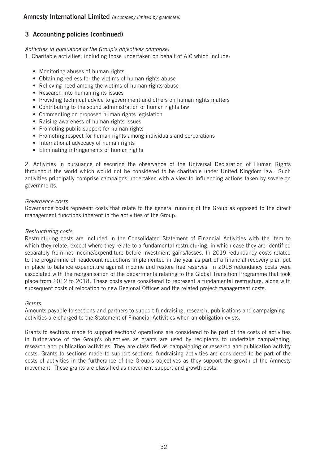#### Activities in pursuance of the Group's objectives comprise:

1. Charitable activities, including those undertaken on behalf of AIC which include:

- Monitoring abuses of human rights
- Obtaining redress for the victims of human rights abuse
- Relieving need among the victims of human rights abuse
- Research into human rights issues
- Providing technical advice to government and others on human rights matters
- Contributing to the sound administration of human rights law
- Commenting on proposed human rights legislation
- Raising awareness of human rights issues
- Promoting public support for human rights
- Promoting respect for human rights among individuals and corporations
- International advocacy of human rights
- Eliminating infringements of human rights

2. Activities in pursuance of securing the observance of the Universal Declaration of Human Rights throughout the world which would not be considered to be charitable under United Kingdom law. Such activities principally comprise campaigns undertaken with a view to influencing actions taken by sovereign governments.

#### Governance costs

Governance costs represent costs that relate to the general running of the Group as opposed to the direct management functions inherent in the activities of the Group.

#### Restructuring costs

Restructuring costs are included in the Consolidated Statement of Financial Activities with the item to which they relate, except where they relate to a fundamental restructuring, in which case they are identified separately from net income/expenditure before investment gains/losses. In 2019 redundancy costs related to the programme of headcount reductions implemented in the year as part of a financial recovery plan put in place to balance expenditure against income and restore free reserves. In 2018 redundancy costs were associated with the reorganisation of the departments relating to the Global Transition Programme that took place from 2012 to 2018. These costs were considered to represent a fundamental restructure, along with subsequent costs of relocation to new Regional Offices and the related project management costs.

#### **Grants**

Amounts payable to sections and partners to support fundraising, research, publications and campaigning activities are charged to the Statement of Financial Activities when an obligation exists.

Grants to sections made to support sections' operations are considered to be part of the costs of activities in furtherance of the Group's objectives as grants are used by recipients to undertake campaigning, research and publication activities. They are classified as campaigning or research and publication activity costs. Grants to sections made to support sections' fundraising activities are considered to be part of the costs of activities in the furtherance of the Group's objectives as they support the growth of the Amnesty movement. These grants are classified as movement support and growth costs.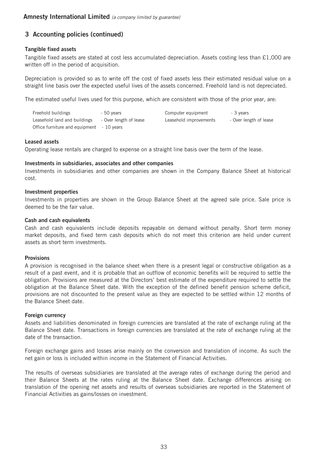#### Tangible fixed assets

Tangible fixed assets are stated at cost less accumulated depreciation. Assets costing less than £1,000 are written off in the period of acquisition.

Depreciation is provided so as to write off the cost of fixed assets less their estimated residual value on a straight line basis over the expected useful lives of the assets concerned. Freehold land is not depreciated.

The estimated useful lives used for this purpose, which are consistent with those of the prior year, are:

| Freehold buildings                         | - 50 years             | Computer equipment     | - 3 years              |
|--------------------------------------------|------------------------|------------------------|------------------------|
| Leasehold land and buildings               | - Over length of lease | Leasehold improvements | - Over length of lease |
| Office furniture and equipment $-10$ years |                        |                        |                        |

#### Leased assets

Operating lease rentals are charged to expense on a straight line basis over the term of the lease.

#### Investments in subsidiaries, associates and other companies

Investments in subsidiaries and other companies are shown in the Company Balance Sheet at historical cost.

#### Investment properties

Investments in properties are shown in the Group Balance Sheet at the agreed sale price. Sale price is deemed to be the fair value.

#### Cash and cash equivalents

Cash and cash equivalents include deposits repayable on demand without penalty. Short term money market deposits, and fixed term cash deposits which do not meet this criterion are held under current assets as short term investments.

#### **Provisions**

A provision is recognised in the balance sheet when there is a present legal or constructive obligation as a result of a past event, and it is probable that an outflow of economic benefits will be required to settle the obligation. Provisions are measured at the Directors' best estimate of the expenditure required to settle the obligation at the Balance Sheet date. With the exception of the defined benefit pension scheme deficit, provisions are not discounted to the present value as they are expected to be settled within 12 months of the Balance Sheet date.

#### Foreign currency

Assets and liabilities denominated in foreign currencies are translated at the rate of exchange ruling at the Balance Sheet date. Transactions in foreign currencies are translated at the rate of exchange ruling at the date of the transaction.

Foreign exchange gains and losses arise mainly on the conversion and translation of income. As such the net gain or loss is included within income in the Statement of Financial Activities.

The results of overseas subsidiaries are translated at the average rates of exchange during the period and their Balance Sheets at the rates ruling at the Balance Sheet date. Exchange differences arising on translation of the opening net assets and results of overseas subsidiaries are reported in the Statement of Financial Activities as gains/losses on investment.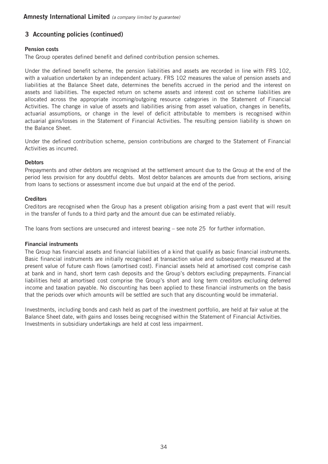#### Pension costs

The Group operates defined benefit and defined contribution pension schemes.

Under the defined benefit scheme, the pension liabilities and assets are recorded in line with FRS 102, with a valuation undertaken by an independent actuary. FRS 102 measures the value of pension assets and liabilities at the Balance Sheet date, determines the benefits accrued in the period and the interest on assets and liabilities. The expected return on scheme assets and interest cost on scheme liabilities are allocated across the appropriate incoming/outgoing resource categories in the Statement of Financial Activities. The change in value of assets and liabilities arising from asset valuation, changes in benefits, actuarial assumptions, or change in the level of deficit attributable to members is recognised within actuarial gains/losses in the Statement of Financial Activities. The resulting pension liability is shown on the Balance Sheet.

Under the defined contribution scheme, pension contributions are charged to the Statement of Financial Activities as incurred.

#### **Debtors**

Prepayments and other debtors are recognised at the settlement amount due to the Group at the end of the period less provision for any doubtful debts. Most debtor balances are amounts due from sections, arising from loans to sections or assessment income due but unpaid at the end of the period.

#### **Creditors**

Creditors are recognised when the Group has a present obligation arising from a past event that will result in the transfer of funds to a third party and the amount due can be estimated reliably.

The loans from sections are unsecured and interest bearing – see note 25 for further information.

#### Financial instruments

The Group has financial assets and financial liabilities of a kind that qualify as basic financial instruments. Basic financial instruments are initially recognised at transaction value and subsequently measured at the present value of future cash flows (amortised cost). Financial assets held at amortised cost comprise cash at bank and in hand, short term cash deposits and the Group's debtors excluding prepayments. Financial liabilities held at amortised cost comprise the Group's short and long term creditors excluding deferred income and taxation payable. No discounting has been applied to these financial instruments on the basis that the periods over which amounts will be settled are such that any discounting would be immaterial.

Investments, including bonds and cash held as part of the investment portfolio, are held at fair value at the Balance Sheet date, with gains and losses being recognised within the Statement of Financial Activities. Investments in subsidiary undertakings are held at cost less impairment.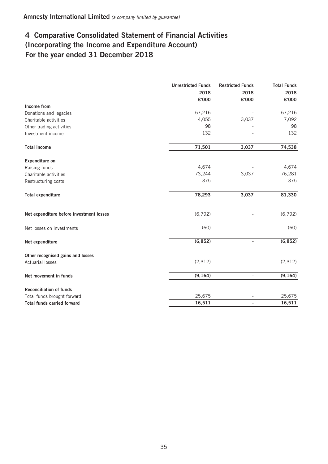### 4 Comparative Consolidated Statement of Financial Activities (Incorporating the Income and Expenditure Account) For the year ended 31 December 2018

|                                                       | <b>Unrestricted Funds</b><br>2018<br>£'000 | <b>Restricted Funds</b><br>2018<br>£'000 | <b>Total Funds</b><br>2018<br>£'000 |
|-------------------------------------------------------|--------------------------------------------|------------------------------------------|-------------------------------------|
| <b>Income from</b>                                    |                                            |                                          |                                     |
| Donations and legacies                                | 67,216                                     |                                          | 67,216                              |
| Charitable activities                                 | 4,055                                      | 3,037                                    | 7,092                               |
| Other trading activities                              | 98                                         |                                          | 98                                  |
| Investment income                                     | 132                                        |                                          | 132                                 |
| <b>Total income</b>                                   | 71,501                                     | 3,037                                    | 74,538                              |
| Expenditure on                                        |                                            |                                          |                                     |
| Raising funds                                         | 4,674                                      |                                          | 4,674                               |
| Charitable activities                                 | 73,244                                     | 3,037                                    | 76,281                              |
| Restructuring costs                                   | 375                                        |                                          | 375                                 |
| <b>Total expenditure</b>                              | 78,293                                     | 3,037                                    | 81,330                              |
| Net expenditure before investment losses              | (6, 792)                                   |                                          | (6, 792)                            |
| Net losses on investments                             | (60)                                       |                                          | (60)                                |
| Net expenditure                                       | (6, 852)                                   | $\qquad \qquad \blacksquare$             | (6, 852)                            |
| Other recognised gains and losses<br>Actuarial losses | (2, 312)                                   |                                          | (2,312)                             |
| Net movement in funds                                 | (9, 164)                                   | $\blacksquare$                           | (9, 164)                            |
| <b>Reconciliation of funds</b>                        |                                            |                                          |                                     |
| Total funds brought forward                           | 25,675                                     |                                          | 25,675                              |
| <b>Total funds carried forward</b>                    | 16,511                                     | $\blacksquare$                           | 16,511                              |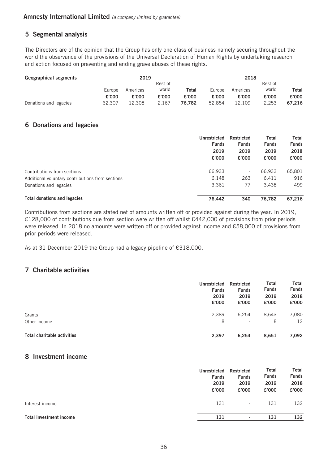### 5 Segmental analysis

The Directors are of the opinion that the Group has only one class of business namely securing throughout the world the observance of the provisions of the Universal Declaration of Human Rights by undertaking research and action focused on preventing and ending grave abuses of these rights.

| <b>Geographical segments</b> |        | 2019     |         |        |        | 2018     |         |        |
|------------------------------|--------|----------|---------|--------|--------|----------|---------|--------|
|                              |        |          | Rest of |        |        |          | Rest of |        |
|                              | Europe | Americas | world   | Total  | Europe | Americas | world   | Total  |
|                              | £'000  | £'000    | £'000   | £'000  | £'000  | £'000    | £'000   | £'000  |
| Donations and legacies       | 62.307 | 12.308   | 2.167   | 76.782 | 52.854 | 12.109   | 2.253   | 67.216 |

### 6 Donations and legacies

|                                                  | <b>Unrestricted</b> | <b>Restricted</b>        | <b>Total</b> | Total        |
|--------------------------------------------------|---------------------|--------------------------|--------------|--------------|
|                                                  | <b>Funds</b>        | <b>Funds</b>             | <b>Funds</b> | <b>Funds</b> |
|                                                  | 2019                | 2019                     | 2019         | 2018         |
|                                                  | £'000               | £'000                    | £'000        | £'000        |
| Contributions from sections                      | 66,933              | $\overline{\phantom{a}}$ | 66,933       | 65,801       |
| Additional voluntary contributions from sections | 6,148               | 263                      | 6,411        | 916          |
| Donations and legacies                           | 3,361               | 77                       | 3.438        | 499          |
| <b>Total donations and legacies</b>              | 76,442              | 340                      | 76,782       | 67,216       |

Contributions from sections are stated net of amounts written off or provided against during the year. In 2019, £128,000 of contributions due from section were written off whilst £442,000 of provisions from prior periods were released. In 2018 no amounts were written off or provided against income and £58,000 of provisions from prior periods were released.

As at 31 December 2019 the Group had a legacy pipeline of £318,000.

### 7 Charitable activities

|                                    | <b>Unrestricted</b><br><b>Funds</b><br>2019<br>£'000 | <b>Restricted</b><br><b>Funds</b><br>2019<br>£'000 | <b>Total</b><br><b>Funds</b><br>2019<br>£'000 | <b>Total</b><br><b>Funds</b><br>2018<br>£'000 |
|------------------------------------|------------------------------------------------------|----------------------------------------------------|-----------------------------------------------|-----------------------------------------------|
| Grants                             | 2,389                                                | 6,254                                              | 8,643                                         | 7,080                                         |
| Other income                       | 8                                                    | $\overline{\phantom{a}}$                           | 8                                             | 12                                            |
| <b>Total charitable activities</b> | 2,397                                                | 6,254                                              | 8,651                                         | 7,092                                         |

### 8 Investment income

|                         | <b>Unrestricted</b><br><b>Funds</b><br>2019<br>£'000 | <b>Restricted</b><br><b>Funds</b><br>2019<br>£'000 | Total<br><b>Funds</b><br>2019<br>£'000 | <b>Total</b><br><b>Funds</b><br>2018<br>£'000 |
|-------------------------|------------------------------------------------------|----------------------------------------------------|----------------------------------------|-----------------------------------------------|
| Interest income         | 131                                                  | $\overline{\phantom{a}}$                           | 131                                    | 132                                           |
| Total investment income | 131                                                  | ۰                                                  | 131                                    | 132                                           |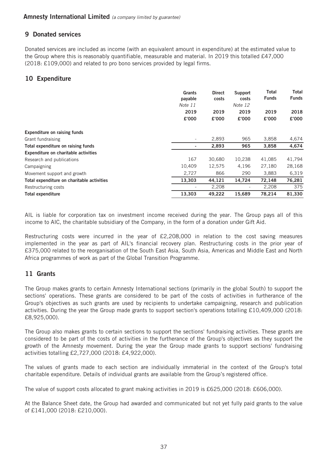### 9 Donated services

Donated services are included as income (with an equivalent amount in expenditure) at the estimated value to the Group where this is reasonably quantifiable, measurable and material. In 2019 this totalled £47,000 (2018: £109,000) and related to pro bono services provided by legal firms.

### 10 Expenditure

|                                            | Grants<br>payable<br>Note 11 | <b>Direct</b><br>costs | Support<br>costs<br>Note 12 | Total<br><b>Funds</b> | Total<br><b>Funds</b> |
|--------------------------------------------|------------------------------|------------------------|-----------------------------|-----------------------|-----------------------|
|                                            | 2019                         | 2019                   | 2019                        | 2019                  | 2018                  |
|                                            | £'000                        | £'000                  | £'000                       | £'000                 | £'000                 |
| <b>Expenditure on raising funds</b>        |                              |                        |                             |                       |                       |
| Grant fundraising                          |                              | 2,893                  | 965                         | 3,858                 | 4,674                 |
| Total expenditure on raising funds         |                              | 2,893                  | 965                         | 3,858                 | 4,674                 |
| Expenditure on charitable activities       |                              |                        |                             |                       |                       |
| Research and publications                  | 167                          | 30,680                 | 10,238                      | 41,085                | 41,794                |
| Campaigning                                | 10.409                       | 12,575                 | 4,196                       | 27,180                | 28,168                |
| Movement support and growth                | 2,727                        | 866                    | 290                         | 3,883                 | 6,319                 |
| Total expenditure on charitable activities | 13,303                       | 44,121                 | 14,724                      | 72,148                | 76,281                |
| Restructuring costs                        |                              | 2,208                  | $\overline{\phantom{a}}$    | 2,208                 | 375                   |
| Total expenditure                          | 13,303                       | 49,222                 | 15,689                      | 78,214                | 81,330                |

AIL is liable for corporation tax on investment income received during the year. The Group pays all of this income to AIC, the charitable subsidiary of the Company, in the form of a donation under Gift Aid.

Restructuring costs were incurred in the year of £2,208,000 in relation to the cost saving measures implemented in the year as part of AIL's financial recovery plan. Restructuring costs in the prior year of £375,000 related to the reorganisation of the South East Asia, South Asia, Americas and Middle East and North Africa programmes of work as part of the Global Transition Programme.

#### 11 Grants

The Group makes grants to certain Amnesty International sections (primarily in the global South) to support the sections' operations. These grants are considered to be part of the costs of activities in furtherance of the Group's objectives as such grants are used by recipients to undertake campaigning, research and publication activities. During the year the Group made grants to support section's operations totalling £10,409,000 (2018: £8,925,000).

The Group also makes grants to certain sections to support the sections' fundraising activities. These grants are considered to be part of the costs of activities in the furtherance of the Group's objectives as they support the growth of the Amnesty movement. During the year the Group made grants to support sections' fundraising activities totalling £2,727,000 (2018: £4,922,000).

The values of grants made to each section are individually immaterial in the context of the Group's total charitable expenditure. Details of individual grants are available from the Group's registered office.

The value of support costs allocated to grant making activities in 2019 is £625,000 (2018: £606,000).

At the Balance Sheet date, the Group had awarded and communicated but not yet fully paid grants to the value of £141,000 (2018: £210,000).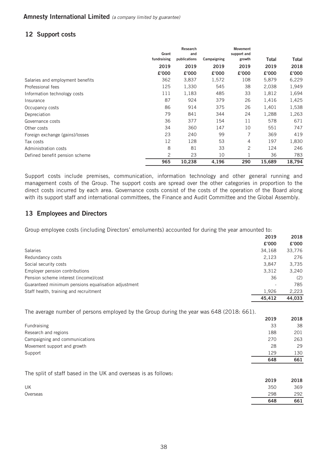### 12 Support costs

|                                  |                      | Research            |             | Movement              |        |        |
|----------------------------------|----------------------|---------------------|-------------|-----------------------|--------|--------|
|                                  | Grant<br>fundraising | and<br>publications | Campaigning | support and<br>growth | Total  | Total  |
|                                  | 2019                 | 2019                | 2019        | 2019                  | 2019   | 2018   |
|                                  | £'000                | £'000               | £'000       | £'000                 | £'000  | £'000  |
| Salaries and employment benefits | 362                  | 3,837               | 1,572       | 108                   | 5,879  | 6,229  |
| Professional fees                | 125                  | 1,330               | 545         | 38                    | 2,038  | 1,949  |
| Information technology costs     | 111                  | 1,183               | 485         | 33                    | 1,812  | 1,694  |
| Insurance                        | 87                   | 924                 | 379         | 26                    | 1,416  | 1,425  |
| Occupancy costs                  | 86                   | 914                 | 375         | 26                    | 1,401  | 1,538  |
| Depreciation                     | 79                   | 841                 | 344         | 24                    | 1,288  | 1,263  |
| Governance costs                 | 36                   | 377                 | 154         | 11                    | 578    | 671    |
| Other costs                      | 34                   | 360                 | 147         | 10                    | 551    | 747    |
| Foreign exchange (gains)/losses  | 23                   | 240                 | 99          | 7                     | 369    | 419    |
| Tax costs                        | 12                   | 128                 | 53          | 4                     | 197    | 1,830  |
| Administration costs             | 8                    | 81                  | 33          | 2                     | 124    | 246    |
| Defined benefit pension scheme   | 2                    | 23                  | 10          |                       | 36     | 783    |
|                                  | 965                  | 10,238              | 4,196       | 290                   | 15,689 | 18,794 |

Support costs include premises, communication, information technology and other general running and management costs of the Group. The support costs are spread over the other categories in proportion to the direct costs incurred by each area. Governance costs consist of the costs of the operation of the Board along with its support staff and international committees, the Finance and Audit Committee and the Global Assembly.

### 13 Employees and Directors

Group employee costs (including Directors' emoluments) accounted for during the year amounted to:

|                                                     | 2019   | 2018   |
|-----------------------------------------------------|--------|--------|
|                                                     | £'000  | £'000  |
| <b>Salaries</b>                                     | 34,168 | 33,776 |
| Redundancy costs                                    | 2,123  | 276    |
| Social security costs                               | 3.847  | 3,735  |
| Employer pension contributions                      | 3,312  | 3.240  |
| Pension scheme interest (income)/cost               | 36     | (2)    |
| Guaranteed minimum pensions equalisation adjustment | -      | 785    |
| Staff health, training and recruitment              | 1,926  | 2,223  |
|                                                     | 45.412 | 44.033 |

The average number of persons employed by the Group during the year was 648 (2018: 661).

|                                | 2019 | 2018 |
|--------------------------------|------|------|
| Fundraising                    | 33   | 38   |
| Research and regions           | 188  | 201  |
| Campaigning and communications | 270  | 263  |
| Movement support and growth    | 28   | 29   |
| Support                        | 129  | 130  |
|                                | 648  | 661  |
|                                |      |      |

The split of staff based in the UK and overseas is as follows:

|          | 2019 | 2018 |
|----------|------|------|
| UK       | 350  | 369  |
| Overseas | 298  | 292  |
|          | 648  | 661  |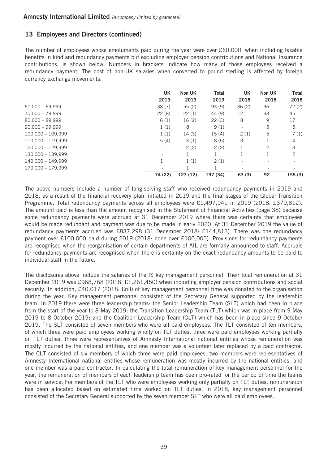### 13 Employees and Directors (continued)

The number of employees whose emoluments paid during the year were over £60,000, when including taxable benefits in kind and redundancy payments but excluding employer pension contributions and National Insurance contributions, is shown below. Numbers in brackets indicate how many of those employees received a redundancy payment. The cost of non-UK salaries when converted to pound sterling is affected by foreign currency exchange movements.

|                     | UK<br>2019 | Non UK<br>2019 | <b>Total</b><br>2019 | UK<br>2018 | Non UK<br>2018           | <b>Total</b><br>2018 |
|---------------------|------------|----------------|----------------------|------------|--------------------------|----------------------|
| $60,000 - 69,999$   | 38(7)      | 55(2)          | 93 (9)               | 36(2)      | 36                       | 72(2)                |
| $70.000 - 79.999$   | 22(8)      | 22(1)          | 44 (9)               | 12         | 33                       | 45                   |
| $80.000 - 89.999$   | 6(1)       | 16(2)          | 22(3)                | 8          | 9                        | 17                   |
| $90,000 - 99,999$   | 1(1)       | 8              | 9(1)                 | ۰          | 5                        | 5                    |
| $100.000 - 109.999$ | 1(1)       | 14(3)          | 15(4)                | 2(1)       | 5                        | 7(1)                 |
| $110.000 - 119.999$ | 5(4)       | 3(1)           | 8(5)                 | 3          |                          | 4                    |
| $120.000 - 129.999$ | Ξ.         | 2(2)           | 2(2)                 |            | $\overline{c}$           | 3                    |
| 130,000 - 139,999   |            |                |                      |            |                          | 2                    |
| 140.000 - 149.999   |            | 1(1)           | 2(1)                 | ۰          | $\overline{\phantom{0}}$ |                      |
| 170.000 - 179.999   |            |                |                      |            |                          |                      |
|                     | 74 (22)    | 123 (12)       | 197 (34)             | 63(3)      | 92                       | 155(3)               |

The above numbers include a number of long-serving staff who received redundancy payments in 2019 and 2018, as a result of the financial recovery plan initiated in 2019 and the final stages of the Global Transition Programme. Total redundancy payments across all employees were £1,497,941 in 2019 (2018: £379,812). The amount paid is less than the amount recognised in the Statement of Financial Activities (page 38) because some redundancy payments were accrued at 31 December 2019 where there was certainty that employees would be made redundant and payment was due to be made in early 2020. At 31 December 2019 the value of redundancy payments accrued was £837,298 (31 December 2018: £144,813). There was one redundancy payment over £100,000 paid during 2019 (2018: none over £100,000). Provisions for redundancy payments are recognised when the reorganisation of certain departments of AIL are formally announced to staff. Accruals for redundancy payments are recognised when there is certainty on the exact redundancy amounts to be paid to individual staff in the future.

The disclosures above include the salaries of the IS key management personnel. Their total remuneration at 31 December 2019 was £968,768 (2018: £1,261,450) when including employer pension contributions and social security. In addition, £40,017 (2018: £nil) of key management personnel time was donated to the organisation during the year. Key management personnel consisted of the Secretary General supported by the leadership team. In 2019 there were three leadership teams: the Senior Leadership Team (SLT) which had been in place from the start of the year to 8 May 2019; the Transition Leadership Team (TLT) which was in place from 9 May 2019 to 8 October 2019; and the Coalition Leadership Team (CLT) which has been in place since 9 October 2019. The SLT consisted of seven members who were all paid employees. The TLT consisted of ten members, of which three were paid employees working wholly on TLT duties, three were paid employees working partially on TLT duties, three were representatives of Amnesty International national entities whose remuneration was mostly incurred by the national entities, and one member was a volunteer later replaced by a paid contractor. The CLT consisted of six members of which three were paid employees, two members were representatives of Amnesty International national entities whose remuneration was mostly incurred by the national entities, and one member was a paid contractor. In calculating the total remuneration of key management personnel for the year, the remuneration of members of each leadership team has been pro-rated for the period of time the teams were in service. For members of the TLT who were employees working only partially on TLT duties, remuneration has been allocated based on estimated time worked on TLT duties. In 2018, key management personnel consisted of the Secretary General supported by the seven member SLT who were all paid employees.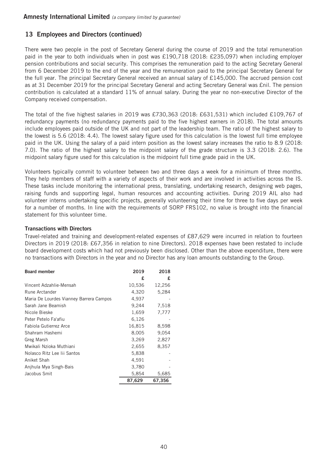### 13 Employees and Directors (continued)

There were two people in the post of Secretary General during the course of 2019 and the total remuneration paid in the year to both individuals when in post was £190,718 (2018: £235,097) when including employer pension contributions and social security. This comprises the remuneration paid to the acting Secretary General from 6 December 2019 to the end of the year and the remuneration paid to the principal Secretary General for the full year. The principal Secretary General received an annual salary of £145,000. The accrued pension cost as at 31 December 2019 for the principal Secretary General and acting Secretary General was £nil. The pension contribution is calculated at a standard 11% of annual salary. During the year no non-executive Director of the Company received compensation.

The total of the five highest salaries in 2019 was £730,363 (2018: £631,531) which included £109,767 of redundancy payments (no redundancy payments paid to the five highest earners in 2018). The total amounts include employees paid outside of the UK and not part of the leadership team. The ratio of the highest salary to the lowest is 5.6 (2018: 4.4). The lowest salary figure used for this calculation is the lowest full time employee paid in the UK. Using the salary of a paid intern position as the lowest salary increases the ratio to 8.9 (2018: 7.0). The ratio of the highest salary to the midpoint salary of the grade structure is 3.3 (2018: 2.6). The midpoint salary figure used for this calculation is the midpoint full time grade paid in the UK.

Volunteers typically commit to volunteer between two and three days a week for a minimum of three months. They help members of staff with a variety of aspects of their work and are involved in activities across the IS. These tasks include monitoring the international press, translating, undertaking research, designing web pages, raising funds and supporting legal, human resources and accounting activities. During 2019 AIL also had volunteer interns undertaking specific projects, generally volunteering their time for three to five days per week for a number of months. In line with the requirements of SORP FRS102, no value is brought into the financial statement for this volunteer time.

#### Transactions with Directors

Travel-related and training and development-related expenses of £87,629 were incurred in relation to fourteen Directors in 2019 (2018: £67,356 in relation to nine Directors). 2018 expenses have been restated to include board development costs which had not previously been disclosed. Other than the above expenditure, there were no transactions with Directors in the year and no Director has any loan amounts outstanding to the Group.

| <b>Board member</b>                     | 2019   | 2018   |
|-----------------------------------------|--------|--------|
|                                         | £      | £      |
| Vincent Adzahlie-Mensah                 | 10,536 | 12,256 |
| Rune Arctander                          | 4,320  | 5,284  |
| Maria De Lourdes Vianney Barrera Campos | 4,937  |        |
| Sarah Jane Beamish                      | 9,244  | 7,518  |
| Nicole Bieske                           | 1,659  | 7,777  |
| Peter Petelo Fa'afiu                    | 6,126  |        |
| Fabiola Gutierrez Arce                  | 16,815 | 8,598  |
| Shahram Hashemi                         | 8,005  | 9,054  |
| Greg Marsh                              | 3,269  | 2,827  |
| Mwikali Nzioka Muthiani                 | 2,655  | 8,357  |
| Nolasco Ritz Lee Iii Santos             | 5,838  |        |
| Aniket Shah                             | 4,591  |        |
| Anjhula Mya Singh-Bais                  | 3,780  |        |
| Jacobus Smit                            | 5,854  | 5,685  |
|                                         | 87,629 | 67,356 |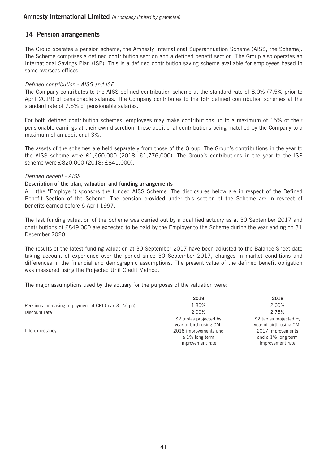### 14 Pension arrangements

The Group operates a pension scheme, the Amnesty International Superannuation Scheme (AISS, the Scheme). The Scheme comprises a defined contribution section and a defined benefit section. The Group also operates an International Savings Plan (ISP). This is a defined contribution saving scheme available for employees based in some overseas offices.

#### Defined contribution - AISS and ISP

The Company contributes to the AISS defined contribution scheme at the standard rate of 8.0% (7.5% prior to April 2019) of pensionable salaries. The Company contributes to the ISP defined contribution schemes at the standard rate of 7.5% of pensionable salaries.

For both defined contribution schemes, employees may make contributions up to a maximum of 15% of their pensionable earnings at their own discretion, these additional contributions being matched by the Company to a maximum of an additional 3%.

The assets of the schemes are held separately from those of the Group. The Group's contributions in the year to the AISS scheme were £1,660,000 (2018: £1,776,000). The Group's contributions in the year to the ISP scheme were £820,000 (2018: £841,000).

#### Defined benefit - AISS

#### Description of the plan, valuation and funding arrangements

AIL (the "Employer") sponsors the funded AISS Scheme. The disclosures below are in respect of the Defined Benefit Section of the Scheme. The pension provided under this section of the Scheme are in respect of benefits earned before 6 April 1997.

The last funding valuation of the Scheme was carried out by a qualified actuary as at 30 September 2017 and contributions of £849,000 are expected to be paid by the Employer to the Scheme during the year ending on 31 December 2020.

The results of the latest funding valuation at 30 September 2017 have been adjusted to the Balance Sheet date taking account of experience over the period since 30 September 2017, changes in market conditions and differences in the financial and demographic assumptions. The present value of the defined benefit obligation was measured using the Projected Unit Credit Method.

The major assumptions used by the actuary for the purposes of the valuation were:

|                                                     | 2019                                                        | 2018                                                        |
|-----------------------------------------------------|-------------------------------------------------------------|-------------------------------------------------------------|
| Pensions increasing in payment at CPI (max 3.0% pa) | 1.80%                                                       | 2.00%                                                       |
| Discount rate                                       | 2.00%                                                       | 2.75%                                                       |
|                                                     | S2 tables projected by<br>year of birth using CMI           | S2 tables projected by<br>year of birth using CMI           |
| Life expectancy                                     | 2018 improvements and<br>a 1% long term<br>improvement rate | 2017 improvements<br>and a 1% long term<br>improvement rate |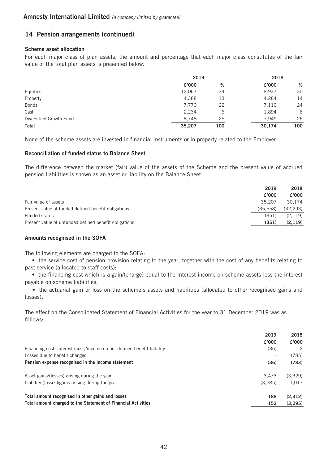### 14 Pension arrangements (continued)

#### Scheme asset allocation

For each major class of plan assets, the amount and percentage that each major class constitutes of the fair value of the total plan assets is presented below:

|                         | 2019   |     | 2018   |     |
|-------------------------|--------|-----|--------|-----|
|                         | £'000  | %   | £'000  | %   |
| Equities                | 12,067 | 34  | 8,937  | 30  |
| Property                | 4,388  | 13  | 4,284  | 14  |
| <b>Bonds</b>            | 7,770  | 22  | 7,110  | 24  |
| Cash                    | 2,234  | 6   | 1,894  | 6   |
| Diversified Growth Fund | 8,748  | 25  | 7,949  | 26  |
| Total                   | 35,207 | 100 | 30,174 | 100 |

None of the scheme assets are invested in financial instruments or in property related to the Employer.

#### Reconciliation of funded status to Balance Sheet

The difference between the market (fair) value of the assets of the Scheme and the present value of accrued pension liabilities is shown as an asset or liability on the Balance Sheet.

|                                                       | 2019     | 2018      |
|-------------------------------------------------------|----------|-----------|
|                                                       | £'000    | £'000     |
| Fair value of assets                                  | 35.207   | 30.174    |
| Present value of funded defined benefit obligations   | (35.558) | (32, 293) |
| Funded status                                         | (351)    | (2, 119)  |
| Present value of unfunded defined benefit obligations | (351)    | (2.119)   |

#### Amounts recognised in the SOFA

The following elements are charged to the SOFA:

• the service cost of pension provision relating to the year, together with the cost of any benefits relating to past service (allocated to staff costs);

• the financing cost which is a gain/(charge) equal to the interest income on scheme assets less the interest payable on scheme liabilities;

• the actuarial gain or loss on the scheme's assets and liabilities (allocated to other recognised gains and losses).

The effect on the Consolidated Statement of Financial Activities for the year to 31 December 2019 was as follows:

|                                                                         | 2019    | 2018          |
|-------------------------------------------------------------------------|---------|---------------|
|                                                                         | £'000   | £'000         |
| Financing cost: interest (cost)/income on net defined benefit liability | (36)    | $\mathcal{P}$ |
| Losses due to benefit changes                                           |         | (785)         |
| Pension expense recognised in the income statement                      | (36)    | (783)         |
| Asset gains/(losses) arising during the year                            | 3.473   | (3,329)       |
| Liability (losses)/gains arising during the year                        | (3.285) | 1,017         |
| Total amount recognised in other gains and losses                       | 188     | (2,312)       |
| Total amount charged to the Statement of Financial Activities           | 152     | (3,095)       |
|                                                                         |         |               |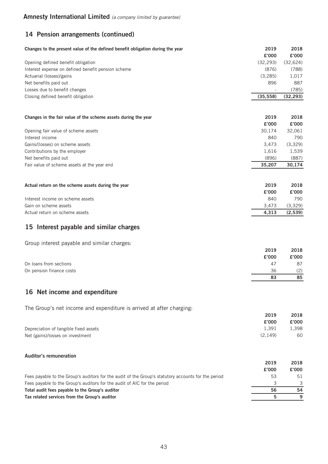### 14 Pension arrangements (continued)

| Changes to the present value of the defined benefit obligation during the year                      | 2019      | 2018                        |
|-----------------------------------------------------------------------------------------------------|-----------|-----------------------------|
|                                                                                                     | £'000     | £'000                       |
| Opening defined benefit obligation                                                                  | (32, 293) | (32, 624)                   |
| Interest expense on defined benefit pension scheme                                                  | (876)     | (788)                       |
| Actuarial (losses)/gains                                                                            | (3,285)   | 1,017                       |
| Net benefits paid out                                                                               | 896       | 887                         |
| Losses due to benefit changes                                                                       |           | (785)                       |
| Closing defined benefit obligation                                                                  | (35, 558) | (32, 293)                   |
| Changes in the fair value of the scheme assets during the year                                      | 2019      | 2018                        |
|                                                                                                     | £'000     | £'000                       |
| Opening fair value of scheme assets                                                                 | 30,174    | 32,061                      |
| Interest income                                                                                     | 840       | 790                         |
| Gains/(losses) on scheme assets                                                                     | 3,473     | (3,329)                     |
| Contributions by the employer                                                                       | 1,616     | 1,539                       |
| Net benefits paid out                                                                               | (896)     | (887)                       |
| Fair value of scheme assets at the year end                                                         | 35,207    | 30,174                      |
| Actual return on the scheme assets during the year                                                  | 2019      | 2018                        |
|                                                                                                     | £'000     | £'000                       |
| Interest income on scheme assets                                                                    | 840       | 790                         |
| Gain on scheme assets                                                                               | 3,473     | (3,329)                     |
| Actual return on scheme assets                                                                      | 4,313     | (2,539)                     |
| Interest payable and similar charges<br>15                                                          |           |                             |
| Group interest payable and similar charges:                                                         |           |                             |
|                                                                                                     | 2019      | 2018                        |
|                                                                                                     | £'000     | £'000                       |
| On loans from sections                                                                              | 47        | 87                          |
| On pension finance costs                                                                            | 36        | (2)                         |
|                                                                                                     | 83        | 85                          |
| 16 Net income and expenditure                                                                       |           |                             |
| The Group's net income and expenditure is arrived at after charging:                                |           |                             |
|                                                                                                     | 2019      | 2018                        |
|                                                                                                     | £'000     | £'000                       |
| Depreciation of tangible fixed assets                                                               | 1,391     | 1,398                       |
| Net (gains)/losses on investment                                                                    | (2, 149)  | 60                          |
|                                                                                                     |           |                             |
| <b>Auditor's remuneration</b>                                                                       | 2019      | 2018                        |
|                                                                                                     | £'000     | £'000                       |
| Fees payable to the Group's auditors for the audit of the Group's statutory accounts for the period | 53        | 51                          |
| Fees payable to the Group's auditors for the audit of AIC for the period                            | 3         | $\mathcal{S}_{\mathcal{S}}$ |
| Total audit fees payable to the Group's auditor                                                     | 56        | 54                          |
| Tax related services from the Group's auditor                                                       | 5         | 9                           |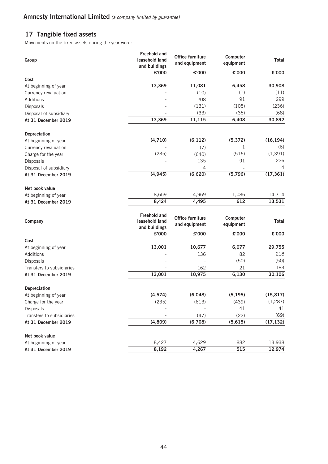### 17 Tangible fixed assets

Movements on the fixed assets during the year were:

| Group                     | <b>Freehold and</b><br>leasehold land<br>and buildings | Office furniture<br>and equipment | Computer<br>equipment | <b>Total</b> |
|---------------------------|--------------------------------------------------------|-----------------------------------|-----------------------|--------------|
|                           | £'000                                                  | £'000                             | £'000                 | £'000        |
| Cost                      |                                                        |                                   |                       |              |
| At beginning of year      | 13,369                                                 | 11,081                            | 6,458                 | 30,908       |
| Currency revaluation      |                                                        | (10)                              | (1)                   | (11)         |
| Additions                 |                                                        | 208                               | 91                    | 299          |
| Disposals                 |                                                        | (131)                             | (105)                 | (236)        |
| Disposal of subsidiary    |                                                        | (33)                              | (35)                  | (68)         |
| At 31 December 2019       | 13,369                                                 | 11,115                            | 6,408                 | 30,892       |
| Depreciation              |                                                        |                                   |                       |              |
| At beginning of year      | (4,710)                                                | (6, 112)                          | (5, 372)              | (16, 194)    |
| Currency revaluation      |                                                        | (7)                               | 1                     | (6)          |
| Charge for the year       | (235)                                                  | (640)                             | (516)                 | (1, 391)     |
| Disposals                 |                                                        | 135                               | 91                    | 226          |
| Disposal of subsidiary    |                                                        | 4                                 |                       | 4            |
| At 31 December 2019       | (4, 945)                                               | (6,620)                           | (5,796)               | (17, 361)    |
| Net book value            |                                                        |                                   |                       |              |
| At beginning of year      | 8,659                                                  | 4,969                             | 1,086                 | 14,714       |
| At 31 December 2019       | 8,424                                                  | 4,495                             | 612                   | 13,531       |
| Company                   | <b>Freehold and</b><br>leasehold land<br>and buildings | Office furniture<br>and equipment | Computer<br>equipment | <b>Total</b> |
|                           | £'000                                                  | £'000                             | £'000                 | £'000        |
| Cost                      |                                                        |                                   |                       |              |
| At beginning of year      | 13,001                                                 | 10,677                            | 6,077                 | 29,755       |
| Additions                 |                                                        | 136                               | 82                    | 218          |
| Disposals                 |                                                        |                                   | (50)                  | (50)         |
| Transfers to subsidiaries |                                                        | 162                               | 21                    | 183          |
| At 31 December 2019       | 13,001                                                 | 10,975                            | 6,130                 | 30,106       |
| Depreciation              |                                                        |                                   |                       |              |
| At beginning of year      | (4, 574)                                               | (6,048)                           | (5, 195)              | (15, 817)    |
| Charge for the year       | (235)                                                  | (613)                             | (439)                 | (1, 287)     |
| Disposals                 |                                                        |                                   | 41                    | 41           |
| Transfers to subsidiaries |                                                        | (47)                              | (22)                  | (69)         |
| At 31 December 2019       | (4,809)                                                | (6,708)                           | (5,615)               | (17, 132)    |
| Net book value            |                                                        |                                   |                       |              |
| At beginning of year      | 8,427                                                  | 4,629                             | 882                   | 13,938       |
| At 31 December 2019       | 8,192                                                  | 4,267                             | 515                   | 12,974       |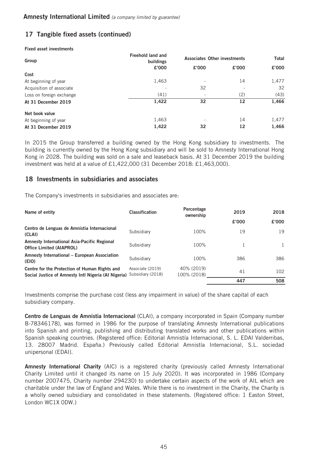### 17 Tangible fixed assets (continued)

#### Fixed asset investments

| Group                    | <b>Freehold land and</b><br>buildings | <b>Associates Other investments</b> |       | <b>Total</b> |  |
|--------------------------|---------------------------------------|-------------------------------------|-------|--------------|--|
|                          | £'000                                 | £'000                               | £'000 | £'000        |  |
| Cost                     |                                       |                                     |       |              |  |
| At beginning of year     | 1,463                                 | ٠                                   | 14    | 1,477        |  |
| Acquisition of associate |                                       | 32                                  |       | 32           |  |
| Loss on foreign exchange | (41)                                  | ٠                                   | (2)   | (43)         |  |
| At 31 December 2019      | 1,422                                 | 32                                  | 12    | 1,466        |  |
| Net book value           |                                       |                                     |       |              |  |
| At beginning of year     | 1,463                                 | ۰                                   | 14    | 1,477        |  |
| At 31 December 2019      | 1,422                                 | 32                                  | 12    | 1,466        |  |

In 2015 the Group transferred a building owned by the Hong Kong subsidiary to investments. The building is currently owned by the Hong Kong subsidiary and will be sold to Amnesty International Hong Kong in 2028. The building was sold on a sale and leaseback basis. At 31 December 2019 the building investment was held at a value of  $£1,422,000$  (31 December 2018: £1,463,000).

#### 18 Investments in subsidiaries and associates

The Company's investments in subsidiaries and associates are:

| £'000<br>Centro de Lenguas de Amnistia Internacional<br>100%<br>Subsidiary<br>19<br>(CLAI)<br>Amnesty International Asia-Pacific Regional<br>100%<br>Subsidiary<br><b>Office Limited (AIAPROL)</b><br>Amnesty International – European Association<br>100%<br>Subsidiary<br>386<br>(EIO)<br>40% (2019)<br>Centre for the Protection of Human Rights and<br>Associate (2019)<br>41<br>Subsidiary (2018)<br>100% (2018)<br>Social Justice of Amnesty Intl Nigeria (Al Nigeria)<br>447 | Name of entity | <b>Classification</b> | Percentage<br>ownership | 2019 | 2018  |
|-------------------------------------------------------------------------------------------------------------------------------------------------------------------------------------------------------------------------------------------------------------------------------------------------------------------------------------------------------------------------------------------------------------------------------------------------------------------------------------|----------------|-----------------------|-------------------------|------|-------|
|                                                                                                                                                                                                                                                                                                                                                                                                                                                                                     |                |                       |                         |      | £'000 |
|                                                                                                                                                                                                                                                                                                                                                                                                                                                                                     |                |                       |                         |      | 19    |
|                                                                                                                                                                                                                                                                                                                                                                                                                                                                                     |                |                       |                         |      |       |
|                                                                                                                                                                                                                                                                                                                                                                                                                                                                                     |                |                       |                         |      | 386   |
|                                                                                                                                                                                                                                                                                                                                                                                                                                                                                     |                |                       |                         |      | 102   |
|                                                                                                                                                                                                                                                                                                                                                                                                                                                                                     |                |                       |                         |      | 508   |

Investments comprise the purchase cost (less any impairment in value) of the share capital of each subsidiary company.

Centro de Lenguas de Amnistia Internacional (CLAI), a company incorporated in Spain (Company number B-78346178), was formed in 1986 for the purpose of translating Amnesty International publications into Spanish and printing, publishing and distributing translated works and other publications within Spanish speaking countries. (Registered office: Editorial Amnistía Internacional, S. L. EDAI Valderribas, 13. 28007 Madrid. España.) Previously called Editorial Amnistía Internacional, S.L. sociedad unipersonal (EDAI).

Amnesty International Charity (AIC) is a registered charity (previously called Amnesty International Charity Limited until it changed its name on 15 July 2020). It was incorporated in 1986 (Company number 2007475, Charity number 294230) to undertake certain aspects of the work of AIL which are charitable under the law of England and Wales. While there is no investment in the Charity, the Charity is a wholly owned subsidiary and consolidated in these statements. (Registered office: 1 Easton Street, London WC1X 0DW.)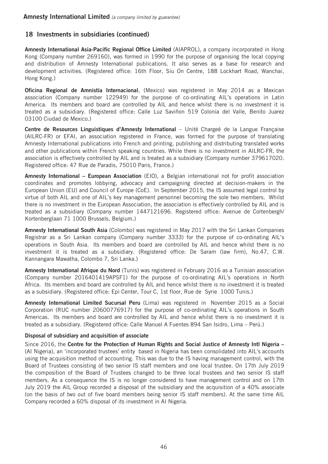### 18 Investments in subsidiaries (continued)

Amnesty International Asia-Pacific Regional Office Limited (AIAPROL), a company incorporated in Hong Kong (Company number 269160), was formed in 1990 for the purpose of organising the local copying and distribution of Amnesty International publications. It also serves as a base for research and development activities. (Registered office: 16th Floor, Siu On Centre, 188 Lockhart Road, Wanchai, Hong Kong.)

Oficina Regional de Amnistía Internacional, (Mexico) was registered in May 2014 as a Mexican association (Company number 122949) for the purpose of co-ordinating AIL's operations in Latin America. Its members and board are controlled by AIL and hence whilst there is no investment it is treated as a subsidiary. (Registered office: Calle Luz Saviñon 519 Colonia del Valle, Benito Juarez 03100 Ciudad de Mexico.)

Centre de Resources Linguistiques d'Amnesty International – Unité Chargeé de la Langue Française (AILRC-FR) or EFAI, an association registered in France, was formed for the purpose of translating Amnesty International publications into French and printing, publishing and distributing translated works and other publications within French speaking countries. While there is no investment in AILRC-FR, the association is effectively controlled by AIL and is treated as a subsidiary (Company number 379617020. Registered office: 47 Rue de Paradis, 75010 Paris, France.)

Amnesty International – European Association (EIO), a Belgian international not for profit association coordinates and promotes lobbying, advocacy and campaigning directed at decision-makers in the European Union (EU) and Council of Europe (CoE). In September 2015, the IS assumed legal control by virtue of both AIL and one of AIL's key management personnel becoming the sole two members. Whilst there is no investment in the European Association, the association is effectively controlled by AIL and is treated as a subsidiary (Company number 1447121696. Registered office: Avenue de Cortenbergh/ Kortenberglaan 71 1000 Brussels, Belgium.)

**Amnesty International South Asia** (Colombo) was registered in May 2017 with the Sri Lankan Companies Registrar as a Sri Lankan company (Company number 3333) for the purpose of co-ordinating AIL's operations in South Asia. Its members and board are controlled by AIL and hence whilst there is no investment it is treated as a subsidiary. (Registered office: De Saram (law firm), No.47, C.W. Kannangara Mawatha, Colombo 7, Sri Lanka.)

Amnesty International Afrique du Nord (Tunis) was registered in February 2016 as a Tunisian association (Company number 2016401419APSF1) for the purpose of co-ordinating AIL's operations in North Africa. Its members and board are controlled by AIL and hence whilst there is no investment it is treated as a subsidiary. (Registered office: Epi Center, Tour C, 1st floor, Rue de Syrie 1000 Tunis.)

Amnesty International Limited Sucursal Peru (Lima) was registered in November 2015 as a Social Corporation (RUC number 20600776917) for the purpose of co-ordinating AIL's operations in South Americas. Its members and board are controlled by AIL and hence whilst there is no investment it is treated as a subsidiary. (Registered office: Calle Manuel A Fuentes 894 San Isidro, Lima – Perú.)

#### Disposal of subsidiary and acquisition of associate

Since 2016, the Centre for the Protection of Human Rights and Social Justice of Amnesty Intl Nigeria – (AI Nigeria), an 'incorporated trustees' entity based in Nigeria has been consolidated into AIL's accounts using the acquisition method of accounting. This was due to the IS having management control, with the Board of Trustees consisting of two senior IS staff members and one local trustee. On 17th July 2019 the composition of the Board of Trustees changed to be three local trustees and two senior IS staff members. As a consequence the IS is no longer considered to have management control and on 17th July 2019 the AIL Group recorded a disposal of the subsidiary and the acquisition of a 40% associate (on the basis of two out of five board members being senior IS staff members). At the same time AIL Company recorded a 60% disposal of its investment in AI Nigeria.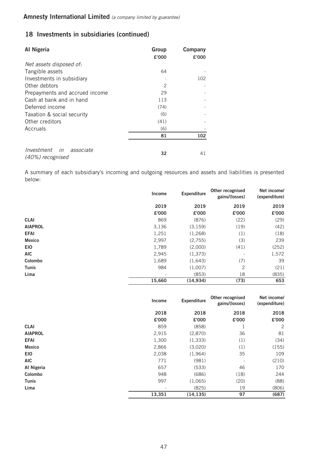### 18 Investments in subsidiaries (continued)

| Al Nigeria                                               | Group<br>£'000 | Company<br>£'000 |
|----------------------------------------------------------|----------------|------------------|
| Net assets disposed of:                                  |                |                  |
| Tangible assets                                          | 64             |                  |
| Investments in subsidiary                                |                | 102              |
| Other debtors                                            | 2              |                  |
| Prepayments and accrued income                           | 29             |                  |
| Cash at bank and in hand                                 | 113            |                  |
| Deferred income                                          | (74)           |                  |
| Taxation & social security                               | (6)            |                  |
| Other creditors                                          | (41)           |                  |
| Accruals                                                 | (6)            |                  |
|                                                          | 81             | 102              |
| <i>Investment</i> in<br>associate<br>$(40\%)$ recognised | 32             | 41               |

A summary of each subsidiary's incoming and outgoing resources and assets and liabilities is presented below:

|                | Income                   | Expenditure | Other recognised<br>gains/(losses) | Net income/<br>(expenditure) |
|----------------|--------------------------|-------------|------------------------------------|------------------------------|
|                | 2019                     | 2019        | 2019                               | 2019                         |
|                | £'000                    | £'000       | £'000                              | £'000                        |
| <b>CLAI</b>    | 869                      | (876)       | (22)                               | (29)                         |
| <b>AIAPROL</b> | 3,136                    | (3, 159)    | (19)                               | (42)                         |
| <b>EFAI</b>    | 1,251                    | (1,268)     | (1)                                | (18)                         |
| <b>Mexico</b>  | 2,997                    | (2,755)     | (3)                                | 239                          |
| <b>EIO</b>     | 1,789                    | (2,000)     | (41)                               | (252)                        |
| <b>AIC</b>     | 2,945                    | (1,373)     | -                                  | 1,572                        |
| Colombo        | 1,689                    | (1,643)     | (7)                                | 39                           |
| <b>Tunis</b>   | 984                      | (1,007)     | 2                                  | (21)                         |
| Lima           | $\overline{\phantom{m}}$ | (853)       | 18                                 | (835)                        |
|                | 15,660                   | (14, 934)   | (73)                               | 653                          |

|                | Income                   | Expenditure | Other recognised<br>gains/(losses) | Net income/<br>(expenditure) |
|----------------|--------------------------|-------------|------------------------------------|------------------------------|
|                | 2018                     | 2018        | 2018                               | 2018                         |
|                | £'000                    | £'000       | £'000                              | £'000                        |
| <b>CLAI</b>    | 859                      | (858)       |                                    | $\overline{c}$               |
| <b>AIAPROL</b> | 2,915                    | (2,870)     | 36                                 | 81                           |
| <b>EFAI</b>    | 1,300                    | (1, 333)    | (1)                                | (34)                         |
| <b>Mexico</b>  | 2,866                    | (3,020)     | (1)                                | (155)                        |
| <b>EIO</b>     | 2,038                    | (1, 964)    | 35                                 | 109                          |
| <b>AIC</b>     | 771                      | (981)       |                                    | (210)                        |
| Al Nigeria     | 657                      | (533)       | 46                                 | 170                          |
| Colombo        | 948                      | (686)       | (18)                               | 244                          |
| <b>Tunis</b>   | 997                      | (1,065)     | (20)                               | (88)                         |
| Lima           | $\overline{\phantom{a}}$ | (825)       | 19                                 | (806)                        |
|                | 13,351                   | (14, 135)   | 97                                 | (687)                        |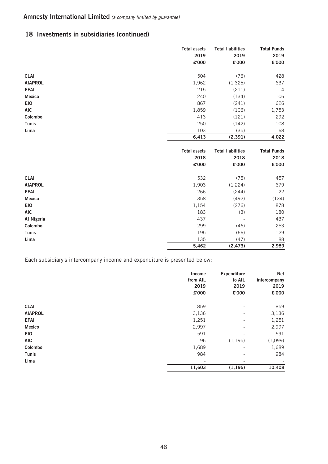### 18 Investments in subsidiaries (continued)

|                          | <b>Total assets</b><br>2019<br>£'000 | <b>Total liabilities</b><br>2019<br>£'000 | <b>Total Funds</b><br>2019<br>£'000 |
|--------------------------|--------------------------------------|-------------------------------------------|-------------------------------------|
| <b>CLAI</b>              | 504                                  | (76)                                      | 428                                 |
| <b>AIAPROL</b>           | 1,962                                | (1, 325)                                  | 637                                 |
| <b>EFAI</b>              | 215                                  | (211)                                     | $\overline{4}$                      |
| <b>Mexico</b>            | 240                                  | (134)                                     | 106                                 |
| <b>EIO</b>               | 867                                  | (241)                                     | 626                                 |
| <b>AIC</b>               | 1,859                                | (106)                                     | 1,753                               |
| Colombo                  | 413                                  | (121)                                     | 292                                 |
| <b>Tunis</b>             | 250                                  | (142)                                     | 108                                 |
| Lima                     | 103                                  | (35)                                      | 68                                  |
|                          | 6,413                                | (2, 391)                                  | 4,022                               |
|                          | <b>Total assets</b>                  | <b>Total liabilities</b>                  | <b>Total Funds</b>                  |
|                          | 2018                                 | 2018                                      | 2018                                |
|                          | £'000                                | £'000                                     | £'000                               |
| <b>CLAI</b>              | 532                                  | (75)                                      | 457                                 |
| <b>AIAPROL</b>           | 1,903                                | (1, 224)                                  | 679                                 |
| <b>EFAI</b>              | 266                                  | (244)                                     | 22                                  |
| <b>Mexico</b>            | 358                                  | (492)                                     | (134)                               |
|                          |                                      |                                           |                                     |
|                          |                                      |                                           |                                     |
| <b>EIO</b>               | 1,154                                | (276)                                     | 878                                 |
| <b>AIC</b><br>Al Nigeria | 183<br>437                           | (3)                                       | 180<br>437                          |
| Colombo                  | 299                                  | (46)                                      | 253                                 |
| <b>Tunis</b>             | 195                                  | (66)                                      | 129                                 |
| Lima                     | 135                                  | (47)                                      | 88                                  |

Each subsidiary's intercompany income and expenditure is presented below:

|                | Income<br>from AIL<br>2019<br>£'000 | Expenditure<br>to AIL<br>2019<br>£'000 | <b>Net</b><br>intercompany<br>2019<br>£'000 |
|----------------|-------------------------------------|----------------------------------------|---------------------------------------------|
| <b>CLAI</b>    | 859                                 | ٠                                      | 859                                         |
| <b>AIAPROL</b> | 3,136                               | ٠                                      | 3,136                                       |
| <b>EFAI</b>    | 1,251                               | ٠                                      | 1,251                                       |
| <b>Mexico</b>  | 2,997                               | -                                      | 2,997                                       |
| <b>EIO</b>     | 591                                 | $\overline{\phantom{a}}$               | 591                                         |
| <b>AIC</b>     | 96                                  | (1, 195)                               | (1,099)                                     |
| Colombo        | 1,689                               | ٠                                      | 1,689                                       |
| <b>Tunis</b>   | 984                                 | $\overline{\phantom{a}}$               | 984                                         |
| Lima           | $\overline{\phantom{a}}$            | -                                      |                                             |
|                | 11,603                              | (1, 195)                               | 10,408                                      |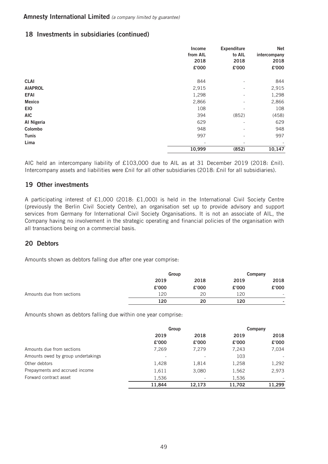### 18 Investments in subsidiaries (continued)

|                | Income<br>from AIL       | Expenditure              | <b>Net</b>   |  |
|----------------|--------------------------|--------------------------|--------------|--|
|                |                          | to AIL                   | intercompany |  |
|                | 2018                     | 2018                     | 2018         |  |
|                | £'000                    | £'000                    | £'000        |  |
| <b>CLAI</b>    | 844                      | $\overline{\phantom{a}}$ | 844          |  |
| <b>AIAPROL</b> | 2,915                    | ٠                        | 2,915        |  |
| <b>EFAI</b>    | 1,298                    | ٠                        | 1,298        |  |
| <b>Mexico</b>  | 2,866                    | ۰                        | 2,866        |  |
| <b>EIO</b>     | 108                      | ۰                        | 108          |  |
| <b>AIC</b>     | 394                      | (852)                    | (458)        |  |
| Al Nigeria     | 629                      | $\overline{\phantom{a}}$ | 629          |  |
| Colombo        | 948                      | ٠                        | 948          |  |
| <b>Tunis</b>   | 997                      | ۰                        | 997          |  |
| Lima           | $\overline{\phantom{a}}$ | ٠                        |              |  |
|                | 10,999                   | (852)                    | 10,147       |  |

AIC held an intercompany liability of £103,000 due to AIL as at 31 December 2019 (2018: £nil). Intercompany assets and liabilities were £nil for all other subsidiaries (2018: £nil for all subsidiaries).

#### 19 Other investments

A participating interest of £1,000 (2018: £1,000) is held in the International Civil Society Centre (previously the Berlin Civil Society Centre), an organisation set up to provide advisory and support services from Germany for International Civil Society Organisations. It is not an associate of AIL, the Company having no involvement in the strategic operating and financial policies of the organisation with all transactions being on a commercial basis.

#### 20 Debtors

Amounts shown as debtors falling due after one year comprise:

|                           |       | Group |       | Company |  |
|---------------------------|-------|-------|-------|---------|--|
|                           | 2019  | 2018  | 2019  | 2018    |  |
|                           | £'000 | £'000 | £'000 | £'000   |  |
| Amounts due from sections | 120   | 20    | 120   | -       |  |
|                           | 120   | 20    | 120   |         |  |

Amounts shown as debtors falling due within one year comprise:

|                                    | Group  |        | Company |        |
|------------------------------------|--------|--------|---------|--------|
|                                    | 2019   | 2018   | 2019    | 2018   |
|                                    | £'000  | £'000  | £'000   | £'000  |
| Amounts due from sections          | 7,269  | 7.279  | 7.243   | 7,034  |
| Amounts owed by group undertakings | ۰      |        | 103     | $\sim$ |
| Other debtors                      | 1,428  | 1,814  | 1,258   | 1,292  |
| Prepayments and accrued income     | 1,611  | 3,080  | 1,562   | 2.973  |
| Forward contract asset             | 1,536  |        | 1,536   |        |
|                                    | 11.844 | 12.173 | 11.702  | 11.299 |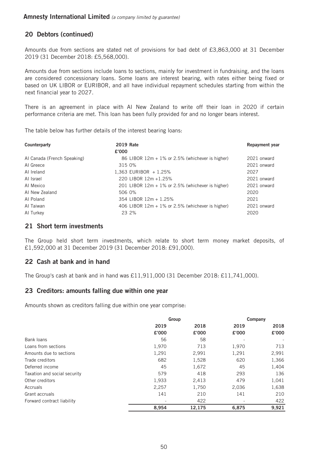### 20 Debtors (continued)

Amounts due from sections are stated net of provisions for bad debt of £3,863,000 at 31 December 2019 (31 December 2018: £5,568,000).

Amounts due from sections include loans to sections, mainly for investment in fundraising, and the loans are considered concessionary loans. Some loans are interest bearing, with rates either being fixed or based on UK LIBOR or EURIBOR, and all have individual repayment schedules starting from within the next financial year to 2027.

There is an agreement in place with AI New Zealand to write off their loan in 2020 if certain performance criteria are met. This loan has been fully provided for and no longer bears interest.

The table below has further details of the interest bearing loans:

| Counterparty                | <b>2019 Rate</b>                                    | Repayment year |
|-----------------------------|-----------------------------------------------------|----------------|
|                             | £'000                                               |                |
| Al Canada (French Speaking) | 86 LIBOR $12m + 1\%$ or 2.5% (whichever is higher)  | 2021 onward    |
| AI Greece                   | 315 0%                                              | 2021 onward    |
| Al Ireland                  | 1,363 EURIBOR + 1.25%                               | 2027           |
| Al Israel                   | 220 LIBOR 12m +1.25%                                | 2021 onward    |
| Al Mexico                   | 201 LIBOR $12m + 1\%$ or 2.5% (whichever is higher) | 2021 onward    |
| AI New Zealand              | 506 0%                                              | 2020           |
| AI Poland                   | 354 LIBOR 12m + 1.25%                               | 2021           |
| Al Taiwan                   | 406 LIBOR $12m + 1\%$ or 2.5% (whichever is higher) | 2021 onward    |
| AI Turkey                   | 23 2%                                               | 2020           |

#### 21 Short term investments

The Group held short term investments, which relate to short term money market deposits, of £1,592,000 at 31 December 2019 (31 December 2018: £91,000).

#### 22 Cash at bank and in hand

The Group's cash at bank and in hand was £11,911,000 (31 December 2018: £11,741,000).

#### 23 Creditors: amounts falling due within one year

Amounts shown as creditors falling due within one year comprise:

|                              | Group |        | Company |       |
|------------------------------|-------|--------|---------|-------|
|                              | 2019  | 2018   | 2019    | 2018  |
|                              | £'000 | £'000  | £'000   | £'000 |
| Bank loans                   | 56    | 58     |         |       |
| Loans from sections          | 1,970 | 713    | 1,970   | 713   |
| Amounts due to sections      | 1,291 | 2,991  | 1,291   | 2,991 |
| Trade creditors              | 682   | 1,528  | 620     | 1,366 |
| Deferred income              | 45    | 1,672  | 45      | 1,404 |
| Taxation and social security | 579   | 418    | 293     | 136   |
| Other creditors              | 1,933 | 2,413  | 479     | 1,041 |
| Accruals                     | 2,257 | 1,750  | 2,036   | 1,638 |
| Grant accruals               | 141   | 210    | 141     | 210   |
| Forward contract liability   | ٠     | 422    |         | 422   |
|                              | 8,954 | 12,175 | 6,875   | 9,921 |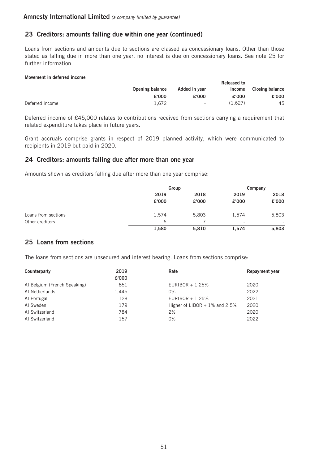#### 23 Creditors: amounts falling due within one year (continued)

Loans from sections and amounts due to sections are classed as concessionary loans. Other than those stated as falling due in more than one year, no interest is due on concessionary loans. See note 25 for further information.

#### Movement in deferred income

|                 |                 |               | <b>Released to</b> |                        |
|-----------------|-----------------|---------------|--------------------|------------------------|
|                 | Opening balance | Added in year | income             | <b>Closing balance</b> |
|                 | £'000           | £'000         | £'000              | £'000                  |
| Deferred income | 1.672           | $\sim$        | (1.627)            | 45                     |

Deferred income of £45,000 relates to contributions received from sections carrying a requirement that related expenditure takes place in future years.

Grant accruals comprise grants in respect of 2019 planned activity, which were communicated to recipients in 2019 but paid in 2020.

#### 24 Creditors: amounts falling due after more than one year

Amounts shown as creditors falling due after more than one year comprise:

|                     |               | Group         |               | Company       |  |
|---------------------|---------------|---------------|---------------|---------------|--|
|                     | 2019<br>£'000 | 2018<br>£'000 | 2019<br>£'000 | 2018<br>£'000 |  |
| Loans from sections | 1,574         | 5,803         | 1,574         | 5,803         |  |
| Other creditors     | 6             |               | -             | -             |  |
|                     | 1,580         | 5,810         | 1,574         | 5,803         |  |

#### 25 Loans from sections

The loans from sections are unsecured and interest bearing. Loans from sections comprise:

| Counterparty                 | 2019<br>£'000 | Rate                            | Repayment year |
|------------------------------|---------------|---------------------------------|----------------|
| Al Belgium (French Speaking) | 851           | EURIBOR $+$ 1.25%               | 2020           |
| AI Netherlands               | 1,445         | $0\%$                           | 2022           |
| Al Portugal                  | 128           | EURIBOR + $1.25%$               | 2021           |
| AI Sweden                    | 179           | Higher of LIBOR $+$ 1% and 2.5% | 2020           |
| AI Switzerland               | 784           | 2%                              | 2020           |
| AI Switzerland               | 157           | 0%                              | 2022           |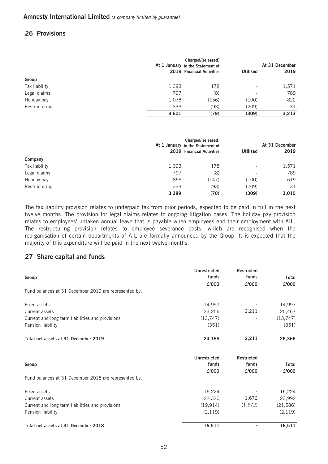### 26 Provisions

|               |       | Charged/(released)<br>At 1 January to the Statement of<br><b>2019</b> Financial Activities | <b>Utilised</b> | At 31 December<br>2019 |
|---------------|-------|--------------------------------------------------------------------------------------------|-----------------|------------------------|
| Group         |       |                                                                                            |                 |                        |
| Tax liability | 1,393 | 178                                                                                        | ٠               | 1,571                  |
| Legal claims  | 797   | (8)                                                                                        |                 | 789                    |
| Holiday pay   | 1,078 | (156)                                                                                      | (100)           | 822                    |
| Restructuring | 333   | (93)                                                                                       | (209)           | 31                     |
|               | 3,601 | (79)                                                                                       | (309)           | 3,213                  |

|               |       | Charged/(released)<br>At 1 January to the Statement of<br>2019 Financial Activities | <b>Utilised</b>          | At 31 December<br>2019 |
|---------------|-------|-------------------------------------------------------------------------------------|--------------------------|------------------------|
| Company       |       |                                                                                     |                          |                        |
| Tax liability | 1,393 | 178                                                                                 | ۰                        | 1,571                  |
| Legal claims  | 797   | (8)                                                                                 | $\overline{\phantom{a}}$ | 789                    |
| Holiday pay   | 866   | (147)                                                                               | (100)                    | 619                    |
| Restructuring | 333   | (93)                                                                                | (209)                    | 31                     |
|               | 3,389 | (70)                                                                                | (309)                    | 3,010                  |

The tax liability provision relates to underpaid tax from prior periods, expected to be paid in full in the next twelve months. The provision for legal claims relates to ongoing litigation cases. The holiday pay provision relates to employees' untaken annual leave that is payable when employees end their employment with AIL. The restructuring provision relates to employee severance costs, which are recognised when the reorganisation of certain departments of AIL are formally announced by the Group. It is expected that the majority of this expenditure will be paid in the next twelve months.

#### 27 Share capital and funds

| Group                                                 | <b>Unrestricted</b><br>funds | <b>Restricted</b><br>funds | <b>Total</b> |
|-------------------------------------------------------|------------------------------|----------------------------|--------------|
|                                                       | £'000                        | £'000                      | £'000        |
| Fund balances at 31 December 2019 are represented by: |                              |                            |              |
| Fixed assets                                          | 14,997                       |                            | 14,997       |
| Current assets                                        | 23,256                       | 2,211                      | 25,467       |
| Current and long term liabilities and provisions      | (13, 747)                    |                            | (13, 747)    |
| Pension liability                                     | (351)                        |                            | (351)        |
| Total net assets at 31 December 2019                  | 24,155                       | 2,211                      | 26,366       |
|                                                       | <b>Unrestricted</b><br>funds | <b>Restricted</b><br>funds | <b>Total</b> |
| Group                                                 | £'000                        | £'000                      | £'000        |
| Fund balances at 31 December 2018 are represented by: |                              |                            |              |
| Fixed assets                                          | 16,224                       |                            | 16,224       |
| Current assets                                        | 22,320                       | 1,672                      | 23,992       |
| Current and long term liabilities and provisions      | (19, 914)                    | (1,672)                    | (21, 586)    |
| Pension liability                                     | (2, 119)                     |                            | (2, 119)     |
| Total net assets at 31 December 2018                  | 16,511                       |                            | 16,511       |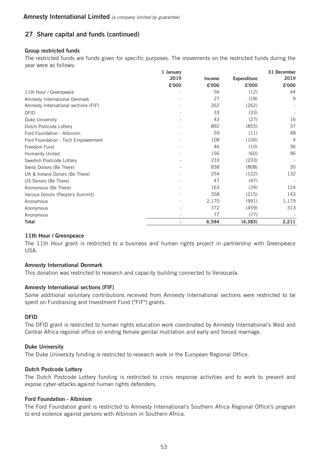#### Group restricted funds

The restricted funds are funds given for specific purposes. The movements on the restricted funds during the year were as follows:

|                                      | 1 January |        |             | 31 December              |
|--------------------------------------|-----------|--------|-------------|--------------------------|
|                                      | 2019      | Income | Expenditure | 2019                     |
|                                      | £'000     | £'000  | £'000       | £'000                    |
| 11th Hour / Greenpeace               |           | 56     | (12)        | 44                       |
| Amnesty International Denmark        |           | 27     | (18)        | 9                        |
| Amnesty International sections (FIF) |           | 262    | (262)       |                          |
| <b>DFID</b>                          |           | 33     | (33)        | $\overline{\phantom{m}}$ |
| Duke University                      |           | 43     | (27)        | 16                       |
| Dutch Postcode Lottery               |           | 892    | (855)       | 37                       |
| Ford Foundation - Albinism           |           | 59     | (11)        | 48                       |
| Ford Foundation - Tech Empowerment   |           | 108    | (104)       | 4                        |
| Freedom Fund                         |           | 46     | (10)        | 36                       |
| Humanity United                      |           | 156    | (60)        | 96                       |
| Swedish Postcode Lottery             |           | 233    | (233)       |                          |
| Swiss Donors (Be There)              |           | 838    | (808)       | 30                       |
| UK & Ireland Donors (Be There)       |           | 254    | (122)       | 132                      |
| US Donors (Be There)                 |           | 47     | (47)        |                          |
| Anonymous (Be There)                 |           | 163    | (39)        | 124                      |
| Various Donors (People's Summit)     |           | 358    | (215)       | 143                      |
| Anonymous                            |           | 2,170  | (991)       | 1,179                    |
| Anonymous                            |           | 772    | (459)       | 313                      |
| Anonymous                            |           | 77     | (77)        |                          |
| Total                                |           | 6,594  | (4, 383)    | 2,211                    |

#### 11th Hour / Greenpeace

The 11th Hour grant is restricted to a business and human rights project in partnership with Greenpeace USA.

#### Amnesty International Denmark

This donation was restricted to research and capacity building connected to Venezuela.

#### Amnesty International sections (FIF)

Some additional voluntary contributions received from Amnesty International sections were restricted to be spent on Fundraising and Investment Fund ("FIF") grants.

#### DFID

The DFID grant is restricted to human rights education work coordinated by Amnesty International's West and Central Africa regional office on ending female genital mutilation and early and forced marriage.

#### Duke University

The Duke University funding is restricted to research work in the European Regional Office.

#### Dutch Postcode Lottery

The Dutch Postcode Lottery funding is restricted to crisis response activities and to work to prevent and expose cyber-attacks against human rights defenders.

#### Ford Foundation - Albinism

The Ford Foundation grant is restricted to Amnesty International's Southern Africa Regional Office's program to end violence against persons with Albinism in Southern Africa.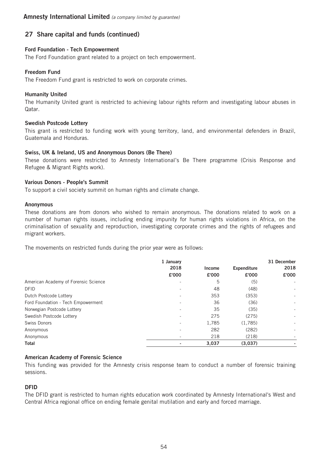#### Ford Foundation - Tech Empowerment

The Ford Foundation grant related to a project on tech empowerment.

#### Freedom Fund

The Freedom Fund grant is restricted to work on corporate crimes.

#### Humanity United

The Humanity United grant is restricted to achieving labour rights reform and investigating labour abuses in Qatar.

#### Swedish Postcode Lottery

This grant is restricted to funding work with young territory, land, and environmental defenders in Brazil, Guatemala and Honduras.

#### Swiss, UK & Ireland, US and Anonymous Donors (Be There)

These donations were restricted to Amnesty International's Be There programme (Crisis Response and Refugee & Migrant Rights work).

#### Various Donors - People's Summit

To support a civil society summit on human rights and climate change.

#### Anonymous

These donations are from donors who wished to remain anonymous. The donations related to work on a number of human rights issues, including ending impunity for human rights violations in Africa, on the criminalisation of sexuality and reproduction, investigating corporate crimes and the rights of refugees and migrant workers.

The movements on restricted funds during the prior year were as follows:

|                                      | 1 January |        |                    | 31 December |
|--------------------------------------|-----------|--------|--------------------|-------------|
|                                      | 2018      | Income | <b>Expenditure</b> | 2018        |
|                                      | £'000     | £'000  | £'000              | £'000       |
| American Academy of Forensic Science |           | 5      | (5)                |             |
| <b>DFID</b>                          |           | 48     | (48)               |             |
| Dutch Postcode Lottery               |           | 353    | (353)              | $\sim$      |
| Ford Foundation - Tech Empowerment   |           | 36     | (36)               |             |
| Norwegian Postcode Lottery           |           | 35     | (35)               |             |
| Swedish Postcode Lottery             |           | 275    | (275)              |             |
| <b>Swiss Donors</b>                  |           | 1,785  | (1,785)            |             |
| Anonymous                            |           | 282    | (282)              |             |
| Anonymous                            |           | 218    | (218)              |             |
| <b>Total</b>                         |           | 3,037  | (3,037)            |             |

#### American Academy of Forensic Science

This funding was provided for the Amnesty crisis response team to conduct a number of forensic training sessions.

#### DFID

The DFID grant is restricted to human rights education work coordinated by Amnesty International's West and Central Africa regional office on ending female genital mutilation and early and forced marriage.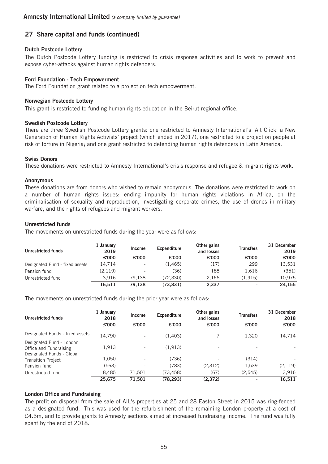#### Dutch Postcode Lottery

The Dutch Postcode Lottery funding is restricted to crisis response activities and to work to prevent and expose cyber-attacks against human rights defenders.

#### Ford Foundation - Tech Empowerment

The Ford Foundation grant related to a project on tech empowerment.

#### Norwegian Postcode Lottery

This grant is restricted to funding human rights education in the Beirut regional office.

#### Swedish Postcode Lottery

There are three Swedish Postcode Lottery grants: one restricted to Amnesty International's 'Alt Click: a New Generation of Human Rights Activists' project (which ended in 2017), one restricted to a project on people at risk of torture in Nigeria; and one grant restricted to defending human rights defenders in Latin America.

#### Swiss Donors

These donations were restricted to Amnesty International's crisis response and refugee & migrant rights work.

#### Anonymous

These donations are from donors who wished to remain anonymous. The donations were restricted to work on a number of human rights issues: ending impunity for human rights violations in Africa, on the criminalisation of sexuality and reproduction, investigating corporate crimes, the use of drones in military warfare, and the rights of refugees and migrant workers.

#### Unrestricted funds

The movements on unrestricted funds during the year were as follows:

| Unrestricted funds             | 1 January<br>2019 | Income                   | <b>Expenditure</b> | Other gains<br>and losses | <b>Transfers</b> | 31 December<br>2019 |
|--------------------------------|-------------------|--------------------------|--------------------|---------------------------|------------------|---------------------|
|                                | £'000             | £'000                    | £'000              | £'000                     | £'000            | £'000               |
| Designated Fund - fixed assets | 14,714            | $\overline{\phantom{a}}$ | (1, 465)           | (17)                      | 299              | 13,531              |
| Pension fund                   | (2,119)           | -                        | (36)               | 188                       | 1.616            | (351)               |
| Unrestricted fund              | 3.916             | 79.138                   | (72, 330)          | 2.166                     | (1.915)          | 10.975              |
|                                | 16.511            | 79.138                   | (73, 831)          | 2,337                     |                  | 24,155              |

The movements on unrestricted funds during the prior year were as follows:

| Unrestricted funds                                                              | 1 January<br>2018<br>£'000 | Income<br>£'000          | <b>Expenditure</b><br>£'000 | Other gains<br>and losses<br>£'000 | <b>Transfers</b><br>£'000 | 31 December<br>2018<br>£'000 |
|---------------------------------------------------------------------------------|----------------------------|--------------------------|-----------------------------|------------------------------------|---------------------------|------------------------------|
| Designated Funds - fixed assets                                                 | 14.790                     |                          | (1.403)                     |                                    | 1,320                     | 14,714                       |
| Designated Fund - London<br>Office and Fundraising<br>Designated Funds - Global | 1,913                      |                          | (1.913)                     | $\overline{\phantom{a}}$           |                           | $\overline{\phantom{a}}$     |
| <b>Transition Project</b>                                                       | 1,050                      | $\overline{\phantom{0}}$ | (736)                       | $\overline{\phantom{a}}$           | (314)                     | $\overline{\phantom{a}}$     |
| Pension fund                                                                    | (563)                      | -                        | (783)                       | (2,312)                            | 1,539                     | (2, 119)                     |
| Unrestricted fund                                                               | 8,485                      | 71,501                   | (73, 458)                   | (67)                               | (2, 545)                  | 3,916                        |
|                                                                                 | 25.675                     | 71.501                   | (78, 293)                   | (2,372)                            |                           | 16.511                       |

#### London Office and Fundraising

The profit on disposal from the sale of AIL's properties at 25 and 28 Easton Street in 2015 was ring-fenced as a designated fund. This was used for the refurbishment of the remaining London property at a cost of  $£4.3m$ , and to provide grants to Amnesty sections aimed at increased fundraising income. The fund was fully spent by the end of 2018.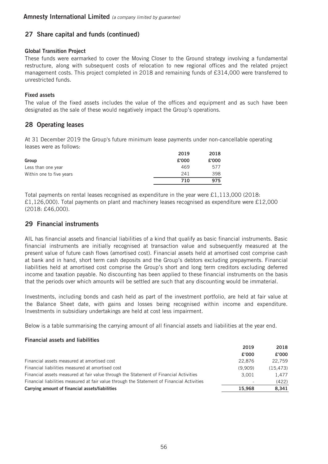#### Global Transition Project

These funds were earmarked to cover the Moving Closer to the Ground strategy involving a fundamental restructure, along with subsequent costs of relocation to new regional offices and the related project management costs. This project completed in 2018 and remaining funds of £314,000 were transferred to unrestricted funds.

#### Fixed assets

The value of the fixed assets includes the value of the offices and equipment and as such have been designated as the sale of these would negatively impact the Group's operations.

#### 28 Operating leases

At 31 December 2019 the Group's future minimum lease payments under non-cancellable operating leases were as follows:

|                          | 2019  | 2018  |
|--------------------------|-------|-------|
| Group                    | £'000 | £'000 |
| Less than one year       | 469   | 577   |
| Within one to five years | 241   | 398   |
|                          | 710   | 975   |

Total payments on rental leases recognised as expenditure in the year were £1,113,000 (2018: £1,126,000). Total payments on plant and machinery leases recognised as expenditure were £12,000 (2018: £46,000).

### 29 Financial instruments

AIL has financial assets and financial liabilities of a kind that qualify as basic financial instruments. Basic financial instruments are initially recognised at transaction value and subsequently measured at the present value of future cash flows (amortised cost). Financial assets held at amortised cost comprise cash at bank and in hand, short term cash deposits and the Group's debtors excluding prepayments. Financial liabilities held at amortised cost comprise the Group's short and long term creditors excluding deferred income and taxation payable. No discounting has been applied to these financial instruments on the basis that the periods over which amounts will be settled are such that any discounting would be immaterial.

Investments, including bonds and cash held as part of the investment portfolio, are held at fair value at the Balance Sheet date, with gains and losses being recognised within income and expenditure. Investments in subsidiary undertakings are held at cost less impairment.

Below is a table summarising the carrying amount of all financial assets and liabilities at the year end.

#### Financial assets and liabilities

|                                                                                            | 2019                     | 2018     |
|--------------------------------------------------------------------------------------------|--------------------------|----------|
|                                                                                            | £'000                    | £'000    |
| Financial assets measured at amortised cost                                                | 22.876                   | 22.759   |
| Financial liabilities measured at amortised cost                                           | (9.909)                  | (15.473) |
| Financial assets measured at fair value through the Statement of Financial Activities      | 3.001                    | 1.477    |
| Financial liabilities measured at fair value through the Statement of Financial Activities | $\overline{\phantom{a}}$ | (422)    |
| Carrying amount of financial assets/liabilities                                            | 15.968                   | 8.341    |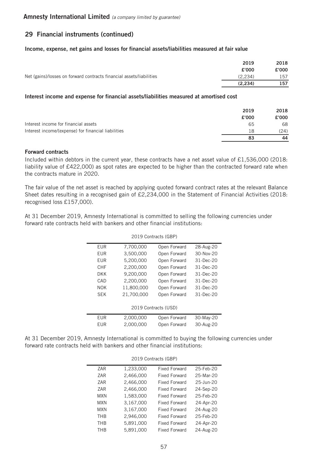### 29 Financial instruments (continued)

#### Income, expense, net gains and losses for financial assets/liabilities measured at fair value

|                                                                      | 2019    | 2018  |
|----------------------------------------------------------------------|---------|-------|
|                                                                      | £'000   | £'000 |
| Net (gains)/losses on forward contracts financial assets/liabilities | (2,234) | 157   |
|                                                                      | (2.234) | 157   |

#### Interest income and expense for financial assets/liabilities measured at amortised cost

|                                                     | 2019  | 2018  |
|-----------------------------------------------------|-------|-------|
|                                                     | £'000 | £'000 |
| Interest income for financial assets                | 65    | 68    |
| Interest income/(expense) for financial liabilities | 18    | (24)  |
|                                                     | 83    | 44    |

#### Forward contracts

Included within debtors in the current year, these contracts have a net asset value of £1,536,000 (2018: liability value of £422,000) as spot rates are expected to be higher than the contracted forward rate when the contracts mature in 2020.

The fair value of the net asset is reached by applying quoted forward contract rates at the relevant Balance Sheet dates resulting in a recognised gain of £2,234,000 in the Statement of Financial Activities (2018: recognised loss £157,000).

At 31 December 2019, Amnesty International is committed to selling the following currencies under forward rate contracts held with bankers and other financial institutions:

| 2019 Contracts (GBP) |            |              |           |  |
|----------------------|------------|--------------|-----------|--|
| <b>EUR</b>           | 7,700,000  | Open Forward | 28-Aug-20 |  |
| <b>EUR</b>           | 3,500,000  | Open Forward | 30-Nov-20 |  |
| <b>EUR</b>           | 5,200,000  | Open Forward | 31-Dec-20 |  |
| CHF                  | 2,200,000  | Open Forward | 31-Dec-20 |  |
| <b>DKK</b>           | 9,200,000  | Open Forward | 31-Dec-20 |  |
| CAD                  | 2,200,000  | Open Forward | 31-Dec-20 |  |
| <b>NOK</b>           | 11,800,000 | Open Forward | 31-Dec-20 |  |
| <b>SEK</b>           | 21,700,000 | Open Forward | 31-Dec-20 |  |
| 2019 Contracts (USD) |            |              |           |  |
| <b>EUR</b>           | 2,000,000  | Open Forward | 30-May-20 |  |
| EUR                  | 2.000.000  | Open Forward | 30-Aug-20 |  |

|  |  | At 31 December 2019, Amnesty International is committed to buying the following currencies under |  |  |  |  |
|--|--|--------------------------------------------------------------------------------------------------|--|--|--|--|
|  |  | forward rate contracts held with bankers and other financial institutions:                       |  |  |  |  |

| 2019 Contracts (GBP) |           |                      |                     |  |
|----------------------|-----------|----------------------|---------------------|--|
| 7AR                  | 1,233,000 | <b>Fixed Forward</b> | 25-Feb-20           |  |
| ZAR                  | 2,466,000 | <b>Fixed Forward</b> | $25-Mar-20$         |  |
| 7AR                  | 2,466,000 | <b>Fixed Forward</b> | $25 - \frac{1}{20}$ |  |
| 7AR                  | 2,466,000 | <b>Fixed Forward</b> | 24-Sep-20           |  |
| <b>MXN</b>           | 1,583,000 | <b>Fixed Forward</b> | 25-Feb-20           |  |
| <b>MXN</b>           | 3,167,000 | <b>Fixed Forward</b> | 24-Apr-20           |  |
| <b>MXN</b>           | 3,167,000 | <b>Fixed Forward</b> | 24-Aug-20           |  |
| <b>THR</b>           | 2,946,000 | <b>Fixed Forward</b> | 25-Feb-20           |  |
| <b>THR</b>           | 5,891,000 | <b>Fixed Forward</b> | 24-Apr-20           |  |
| <b>THR</b>           | 5,891,000 | <b>Fixed Forward</b> | 24-Aug-20           |  |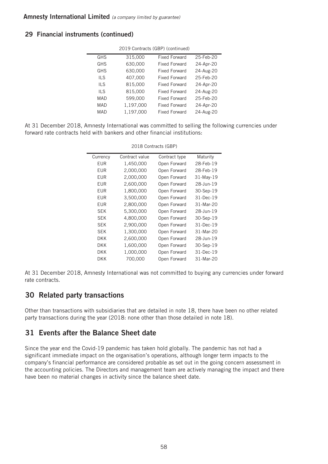### 29 Financial instruments (continued)

| <b>GHS</b> | 315,000   | <b>Fixed Forward</b> | 25-Feb-20 |  |  |
|------------|-----------|----------------------|-----------|--|--|
| <b>GHS</b> | 630,000   | <b>Fixed Forward</b> | 24-Apr-20 |  |  |
| <b>GHS</b> | 630.000   | <b>Fixed Forward</b> | 24-Aug-20 |  |  |
| ILS        | 407.000   | <b>Fixed Forward</b> | 25-Feb-20 |  |  |
| ILS        | 815.000   | <b>Fixed Forward</b> | 24-Apr-20 |  |  |
| ILS        | 815,000   | <b>Fixed Forward</b> | 24-Aug-20 |  |  |
| <b>MAD</b> | 599,000   | <b>Fixed Forward</b> | 25-Feb-20 |  |  |
| <b>MAD</b> | 1,197,000 | <b>Fixed Forward</b> | 24-Apr-20 |  |  |
| <b>MAD</b> | 1,197,000 | <b>Fixed Forward</b> | 24-Aug-20 |  |  |

2019 Contracts (GBP) (continued)

At 31 December 2018, Amnesty International was committed to selling the following currencies under forward rate contracts held with bankers and other financial institutions:

| 2018 Contracts (GBP) |                |               |           |  |
|----------------------|----------------|---------------|-----------|--|
| Currency             | Contract value | Contract type | Maturity  |  |
| EUR                  | 1,450,000      | Open Forward  | 28-Feb-19 |  |
| EUR                  | 2,000,000      | Open Forward  | 28-Feb-19 |  |
| EUR                  | 2,000,000      | Open Forward  | 31-May-19 |  |
| EUR                  | 2,600,000      | Open Forward  | 28-Jun-19 |  |
| EUR                  | 1,800,000      | Open Forward  | 30-Sep-19 |  |
| EUR                  | 3,500,000      | Open Forward  | 31-Dec-19 |  |
| EUR                  | 2,800,000      | Open Forward  | 31-Mar-20 |  |
| <b>SEK</b>           | 5,300,000      | Open Forward  | 28-Jun-19 |  |
| <b>SEK</b>           | 4,800,000      | Open Forward  | 30-Sep-19 |  |
| <b>SEK</b>           | 2,900,000      | Open Forward  | 31-Dec-19 |  |
| <b>SEK</b>           | 1,300,000      | Open Forward  | 31-Mar-20 |  |
| DKK                  | 2,600,000      | Open Forward  | 28-Jun-19 |  |
| DKK                  | 1,600,000      | Open Forward  | 30-Sep-19 |  |
| DKK                  | 1,000,000      | Open Forward  | 31-Dec-19 |  |
| DKK                  | 700,000        | Open Forward  | 31-Mar-20 |  |

At 31 December 2018, Amnesty International was not committed to buying any currencies under forward rate contracts.

### 30 Related party transactions

Other than transactions with subsidiaries that are detailed in note 18, there have been no other related party transactions during the year (2018: none other than those detailed in note 18).

### 31 Events after the Balance Sheet date

Since the year end the Covid-19 pandemic has taken hold globally. The pandemic has not had a significant immediate impact on the organisation's operations, although longer term impacts to the company's financial performance are considered probable as set out in the going concern assessment in the accounting policies. The Directors and management team are actively managing the impact and there have been no material changes in activity since the balance sheet date.